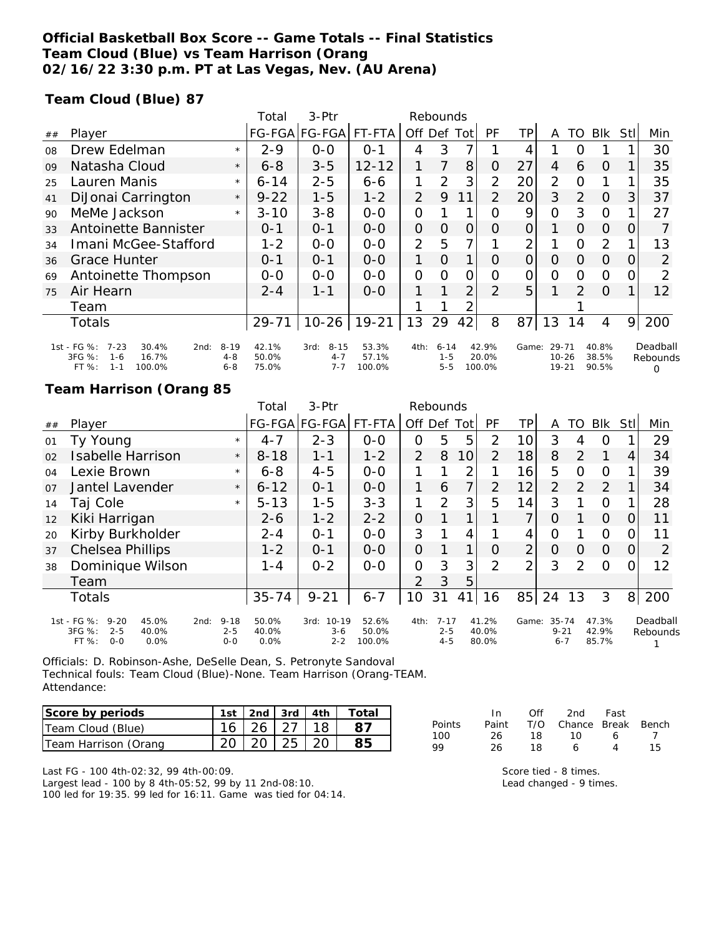### **Official Basketball Box Score -- Game Totals -- Final Statistics Team Cloud (Blue) vs Team Harrison (Orang 02/16/22 3:30 p.m. PT at Las Vegas, Nev. (AU Arena)**

### **Team Cloud (Blue) 87**

|    |                                                                                                      |                                | Total                   | $3-Ptr$                                | Rebounds                 |                |                                |                |                          |                |                             |               |                         |          |                                  |
|----|------------------------------------------------------------------------------------------------------|--------------------------------|-------------------------|----------------------------------------|--------------------------|----------------|--------------------------------|----------------|--------------------------|----------------|-----------------------------|---------------|-------------------------|----------|----------------------------------|
| ## | Player                                                                                               |                                |                         | FG-FGA FG-FGA                          | FT-FTA                   | Off            | Def                            | Tot            | PF                       | TР             | Α                           | TO.           | Blk                     | Stll     | Min                              |
| 08 | Drew Edelman                                                                                         | $\star$                        | $2 - 9$                 | 0-0                                    | $O - 1$                  | 4              | 3                              |                |                          | 4              |                             |               |                         |          | 30                               |
| 09 | Natasha Cloud                                                                                        | $\star$                        | $6 - 8$                 | $3 - 5$                                | $12 - 12$                | 1              | 7                              | 8              | 0                        | 27             | 4                           | 6             | $\Omega$                |          | 35                               |
| 25 | Lauren Manis                                                                                         | $\star$                        | $6 - 14$                | $2 - 5$                                | $6 - 6$                  | 1              | 2                              | 3              | $\overline{2}$           | 20             | $\overline{2}$              | $\Omega$      |                         |          | 35                               |
| 41 | DiJonai Carrington                                                                                   | $\star$                        | $9 - 22$                | $1 - 5$                                | $1 - 2$                  | 2              | 9                              | 11             | $\mathcal{P}$            | 20             | 3                           | $\mathcal{P}$ | $\Omega$                | 3        | 37                               |
| 90 | MeMe Jackson                                                                                         | $\star$                        | $3 - 10$                | $3 - 8$                                | $0 - 0$                  | O              |                                |                | $\Omega$                 | 9              | $\Omega$                    | 3             | $\Omega$                |          | 27                               |
| 33 | Antoinette Bannister                                                                                 |                                | $0 - 1$                 | $0 - 1$                                | $0 - 0$                  | $\overline{O}$ | $\Omega$                       | $\Omega$       | $\Omega$                 | $\overline{O}$ |                             | $\Omega$      | $\Omega$                | 0        |                                  |
| 34 | Imani McGee-Stafford                                                                                 |                                | $1 - 2$                 | $0 - 0$                                | $0-0$                    | 2              | 5                              |                |                          | 2              |                             | $\Omega$      | 2                       |          | 13                               |
| 36 | <b>Grace Hunter</b>                                                                                  |                                | $0 - 1$                 | $O - 1$                                | $0 - 0$                  | 1.             | $\Omega$                       |                | $\Omega$                 | $\overline{O}$ | $\Omega$                    | $\Omega$      | $\Omega$                | $\Omega$ | 2                                |
| 69 | Antoinette Thompson                                                                                  |                                | $0 - 0$                 | $0 - 0$                                | $0 - 0$                  | O              | $\Omega$                       | Ο              | O                        | 0              | $\Omega$                    | $\Omega$      | $\Omega$                |          | 2                                |
| 75 | Air Hearn                                                                                            |                                | $2 - 4$                 | 1-1                                    | $0 - 0$                  |                |                                | $\overline{2}$ | $\mathcal{P}$            | 5 <sub>1</sub> |                             | 2             | $\Omega$                |          | 12                               |
|    | Team                                                                                                 |                                |                         |                                        |                          |                |                                |                |                          |                |                             |               |                         |          |                                  |
|    | <b>Totals</b>                                                                                        |                                | $29 - 71$               | $10-26$                                | $19 - 21$                | 13             | 29                             | 42             | 8                        | 87             | 13                          | 14            | 4                       | 9        | 200                              |
|    | 1st - FG %:<br>$7 - 23$<br>30.4%<br>2nd:<br>3FG %:<br>16.7%<br>$1 - 6$<br>FT %:<br>$1 - 1$<br>100.0% | $8 - 19$<br>$4 - 8$<br>$6 - 8$ | 42.1%<br>50.0%<br>75.0% | $8 - 15$<br>3rd:<br>$4 - 7$<br>$7 - 7$ | 53.3%<br>57.1%<br>100.0% | 4th:           | $6 - 14$<br>$1 - 5$<br>$5 - 5$ |                | 42.9%<br>20.0%<br>100.0% | Game:          | 29-71<br>$10 - 26$<br>19-21 |               | 40.8%<br>38.5%<br>90.5% |          | Deadball<br>Rebounds<br>$\Omega$ |

#### **Team Harrison (Orang 85**

|    |                                                                                            |      |                                | Total                  | $3-$ Ptr                                | Rebounds                 |                |                                |                 |                         |                |                                  |          |                         |                  |                      |
|----|--------------------------------------------------------------------------------------------|------|--------------------------------|------------------------|-----------------------------------------|--------------------------|----------------|--------------------------------|-----------------|-------------------------|----------------|----------------------------------|----------|-------------------------|------------------|----------------------|
| ## | Player                                                                                     |      |                                |                        | FG-FGA FG-FGA                           | FT-FTA                   | Off Def        |                                | Tot             | <b>PF</b>               | TP.            | A                                | TO       | Blk                     | Stll             | Min                  |
| 01 | Ty Young                                                                                   |      | $\star$                        | $4 - 7$                | $2 - 3$                                 | $0 - 0$                  | O              | 5                              | 5               | 2                       | 10             | 3                                | 4        | O                       |                  | 29                   |
| 02 | <b>Isabelle Harrison</b>                                                                   |      | $\star$                        | $8 - 18$               | $1 - 1$                                 | $1 - 2$                  | 2              | 8                              | 10 <sup>1</sup> | $\mathcal{P}$           | 18             | 8                                | 2        | 1                       | 4                | 34                   |
| 04 | Lexie Brown                                                                                |      | $\star$                        | $6 - 8$                | $4 - 5$                                 | $0-0$                    |                |                                | 2               |                         | 16             | 5                                | $\Omega$ | O                       |                  | 39                   |
| 07 | Jantel Lavender                                                                            |      | $\star$                        | $6 - 12$               | $0 - 1$                                 | $0 - 0$                  | 1              | 6                              | 7               | $\overline{2}$          | 12             | $\overline{2}$                   | 2        | 2                       |                  | 34                   |
| 14 | Taj Cole                                                                                   |      | $\star$                        | $5 - 13$               | $1 - 5$                                 | $3 - 3$                  |                | $\mathcal{P}$                  | 3               | 5                       | 14             | 3                                |          | O                       |                  | 28                   |
| 12 | Kiki Harrigan                                                                              |      |                                | $2 - 6$                | $1 - 2$                                 | $2 - 2$                  | 0              |                                |                 |                         | 7              | 0                                |          | $\Omega$                | O                | 11                   |
| 20 | Kirby Burkholder                                                                           |      |                                | $2 - 4$                | $O - 1$                                 | $0 - 0$                  | 3              |                                | 4               |                         | 4              | O                                |          | O                       | $\left( \right)$ | 11                   |
| 37 | <b>Chelsea Phillips</b>                                                                    |      |                                | $1 - 2$                | $0 - 1$                                 | $0 - 0$                  | $\Omega$       |                                | 1               | O                       | $\overline{2}$ | O                                | $\Omega$ | $\Omega$                | $\Omega$         | 2                    |
| 38 | Dominique Wilson                                                                           |      |                                | $1 - 4$                | $0 - 2$                                 | $0-0$                    | $\overline{O}$ | 3                              | 3               | 2                       | $\overline{2}$ | 3                                | 2        | $\Omega$                |                  | 12                   |
|    | Team                                                                                       |      |                                |                        |                                         |                          | 2              | 3                              | 5               |                         |                |                                  |          |                         |                  |                      |
|    | <b>Totals</b>                                                                              |      |                                | $35 - 74$              | $9 - 21$                                | $6 - 7$                  | 10             | 31                             | 41              | 16                      | 85             | 24                               | 13       | 3                       | 8 <sup>1</sup>   | 200                  |
|    | 1st - FG %:<br>$9 - 20$<br>45.0%<br>3FG %:<br>$2 - 5$<br>40.0%<br>$O - O$<br>0.0%<br>FT %: | 2nd: | $9 - 18$<br>$2 - 5$<br>$0 - 0$ | 50.0%<br>40.0%<br>0.0% | $10 - 19$<br>3rd:<br>$3 - 6$<br>$2 - 2$ | 52.6%<br>50.0%<br>100.0% | 4th:           | $7 - 17$<br>$2 - 5$<br>$4 - 5$ |                 | 41.2%<br>40.0%<br>80.0% | Game:          | $35 - 74$<br>$9 - 21$<br>$6 - 7$ |          | 47.3%<br>42.9%<br>85.7% |                  | Deadball<br>Rebounds |

Officials: D. Robinson-Ashe, DeSelle Dean, S. Petronyte Sandoval Technical fouls: Team Cloud (Blue)-None. Team Harrison (Orang-TEAM. Attendance:

| Score by periods     |                     |  | 1st 2nd 3rd 4th Total |
|----------------------|---------------------|--|-----------------------|
| Team Cloud (Blue)    | $16$   26   27   18 |  |                       |
| Team Harrison (Orang | 20   20   25   20   |  |                       |

|               | In.   | ∩ff | 2nd                    | Fast |     |
|---------------|-------|-----|------------------------|------|-----|
| <b>Points</b> | Paint |     | T/O Chance Break Bench |      |     |
| 100           | 26.   | -18 | 10.                    | А    |     |
| 99            | 26.   | 18. | А                      |      | 15. |

Last FG - 100 4th-02:32, 99 4th-00:09.

Largest lead - 100 by 8 4th-05:52, 99 by 11 2nd-08:10. 100 led for 19:35. 99 led for 16:11. Game was tied for 04:14. Score tied - 8 times. Lead changed - 9 times.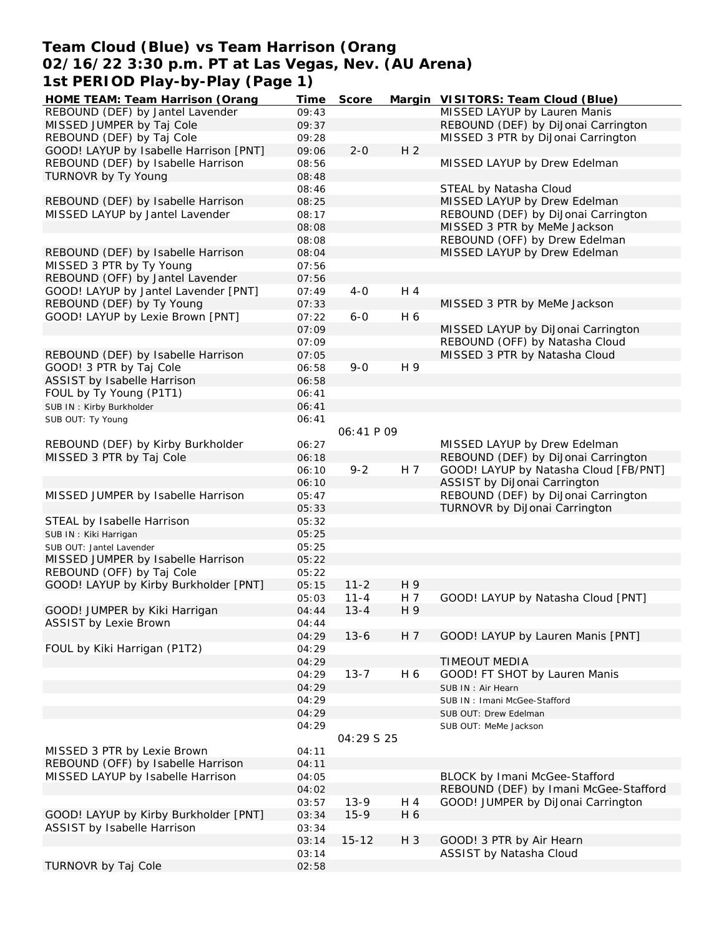### **Team Cloud (Blue) vs Team Harrison (Orang 02/16/22 3:30 p.m. PT at Las Vegas, Nev. (AU Arena) 1st PERIOD Play-by-Play (Page 1)**

| HOME TEAM: Team Harrison (Orang        | Time  | Score      |                | Margin VISITORS: Team Cloud (Blue)    |
|----------------------------------------|-------|------------|----------------|---------------------------------------|
| REBOUND (DEF) by Jantel Lavender       | 09:43 |            |                | MISSED LAYUP by Lauren Manis          |
| MISSED JUMPER by Taj Cole              | 09:37 |            |                | REBOUND (DEF) by DiJonai Carrington   |
| REBOUND (DEF) by Taj Cole              | 09:28 |            |                | MISSED 3 PTR by DiJonai Carrington    |
| GOOD! LAYUP by Isabelle Harrison [PNT] | 09:06 | $2 - 0$    | H <sub>2</sub> |                                       |
| REBOUND (DEF) by Isabelle Harrison     | 08:56 |            |                | MISSED LAYUP by Drew Edelman          |
| TURNOVR by Ty Young                    | 08:48 |            |                |                                       |
|                                        |       |            |                |                                       |
|                                        | 08:46 |            |                | STEAL by Natasha Cloud                |
| REBOUND (DEF) by Isabelle Harrison     | 08:25 |            |                | MISSED LAYUP by Drew Edelman          |
| MISSED LAYUP by Jantel Lavender        | 08:17 |            |                | REBOUND (DEF) by DiJonai Carrington   |
|                                        | 08:08 |            |                | MISSED 3 PTR by MeMe Jackson          |
|                                        | 08:08 |            |                | REBOUND (OFF) by Drew Edelman         |
| REBOUND (DEF) by Isabelle Harrison     | 08:04 |            |                | MISSED LAYUP by Drew Edelman          |
| MISSED 3 PTR by Ty Young               | 07:56 |            |                |                                       |
| REBOUND (OFF) by Jantel Lavender       | 07:56 |            |                |                                       |
| GOOD! LAYUP by Jantel Lavender [PNT]   | 07:49 | $4 - 0$    | H 4            |                                       |
| REBOUND (DEF) by Ty Young              | 07:33 |            |                | MISSED 3 PTR by MeMe Jackson          |
| GOOD! LAYUP by Lexie Brown [PNT]       | 07:22 | $6 - 0$    | H 6            |                                       |
|                                        |       |            |                |                                       |
|                                        | 07:09 |            |                | MISSED LAYUP by DiJonai Carrington    |
|                                        | 07:09 |            |                | REBOUND (OFF) by Natasha Cloud        |
| REBOUND (DEF) by Isabelle Harrison     | 07:05 |            |                | MISSED 3 PTR by Natasha Cloud         |
| GOOD! 3 PTR by Taj Cole                | 06:58 | $9 - 0$    | H 9            |                                       |
| ASSIST by Isabelle Harrison            | 06:58 |            |                |                                       |
| FOUL by Ty Young (P1T1)                | 06:41 |            |                |                                       |
| SUB IN: Kirby Burkholder               | 06:41 |            |                |                                       |
| SUB OUT: Ty Young                      | 06:41 |            |                |                                       |
|                                        |       | 06:41 P 09 |                |                                       |
| REBOUND (DEF) by Kirby Burkholder      | 06:27 |            |                | MISSED LAYUP by Drew Edelman          |
|                                        |       |            |                |                                       |
| MISSED 3 PTR by Taj Cole               | 06:18 |            |                | REBOUND (DEF) by DiJonai Carrington   |
|                                        | 06:10 | $9 - 2$    | H 7            | GOOD! LAYUP by Natasha Cloud [FB/PNT] |
|                                        | 06:10 |            |                | ASSIST by DiJonai Carrington          |
| MISSED JUMPER by Isabelle Harrison     | 05:47 |            |                | REBOUND (DEF) by DiJonai Carrington   |
|                                        | 05:33 |            |                | TURNOVR by DiJonai Carrington         |
| STEAL by Isabelle Harrison             | 05:32 |            |                |                                       |
| SUB IN: Kiki Harrigan                  | 05:25 |            |                |                                       |
| SUB OUT: Jantel Lavender               | 05:25 |            |                |                                       |
| MISSED JUMPER by Isabelle Harrison     | 05:22 |            |                |                                       |
| REBOUND (OFF) by Taj Cole              | 05:22 |            |                |                                       |
| GOOD! LAYUP by Kirby Burkholder [PNT]  | 05:15 | $11 - 2$   | H 9            |                                       |
|                                        |       |            |                |                                       |
|                                        | 05:03 | $11 - 4$   | H 7            | GOOD! LAYUP by Natasha Cloud [PNT]    |
| GOOD! JUMPER by Kiki Harrigan          | 04:44 | $13 - 4$   | H 9            |                                       |
| ASSIST by Lexie Brown                  | 04:44 |            |                |                                       |
|                                        | 04:29 | $13 - 6$   | H 7            | GOOD! LAYUP by Lauren Manis [PNT]     |
| FOUL by Kiki Harrigan (P1T2)           | 04:29 |            |                |                                       |
|                                        | 04:29 |            |                | <b>TIMEOUT MEDIA</b>                  |
|                                        | 04:29 | $13 - 7$   | H 6            | GOOD! FT SHOT by Lauren Manis         |
|                                        | 04:29 |            |                | SUB IN: Air Hearn                     |
|                                        | 04:29 |            |                | SUB IN: Imani McGee-Stafford          |
|                                        |       |            |                |                                       |
|                                        | 04:29 |            |                | SUB OUT: Drew Edelman                 |
|                                        | 04:29 |            |                | SUB OUT: MeMe Jackson                 |
|                                        |       | 04:29 S 25 |                |                                       |
| MISSED 3 PTR by Lexie Brown            | 04:11 |            |                |                                       |
| REBOUND (OFF) by Isabelle Harrison     | 04:11 |            |                |                                       |
| MISSED LAYUP by Isabelle Harrison      | 04:05 |            |                | BLOCK by Imani McGee-Stafford         |
|                                        | 04:02 |            |                | REBOUND (DEF) by Imani McGee-Stafford |
|                                        | 03:57 | $13-9$     | H 4            | GOOD! JUMPER by DiJonai Carrington    |
| GOOD! LAYUP by Kirby Burkholder [PNT]  | 03:34 | $15-9$     | H 6            |                                       |
| ASSIST by Isabelle Harrison            | 03:34 |            |                |                                       |
|                                        |       | $15 - 12$  | H 3            |                                       |
|                                        | 03:14 |            |                | GOOD! 3 PTR by Air Hearn              |
|                                        | 03:14 |            |                | ASSIST by Natasha Cloud               |
| TURNOVR by Taj Cole                    | 02:58 |            |                |                                       |
|                                        |       |            |                |                                       |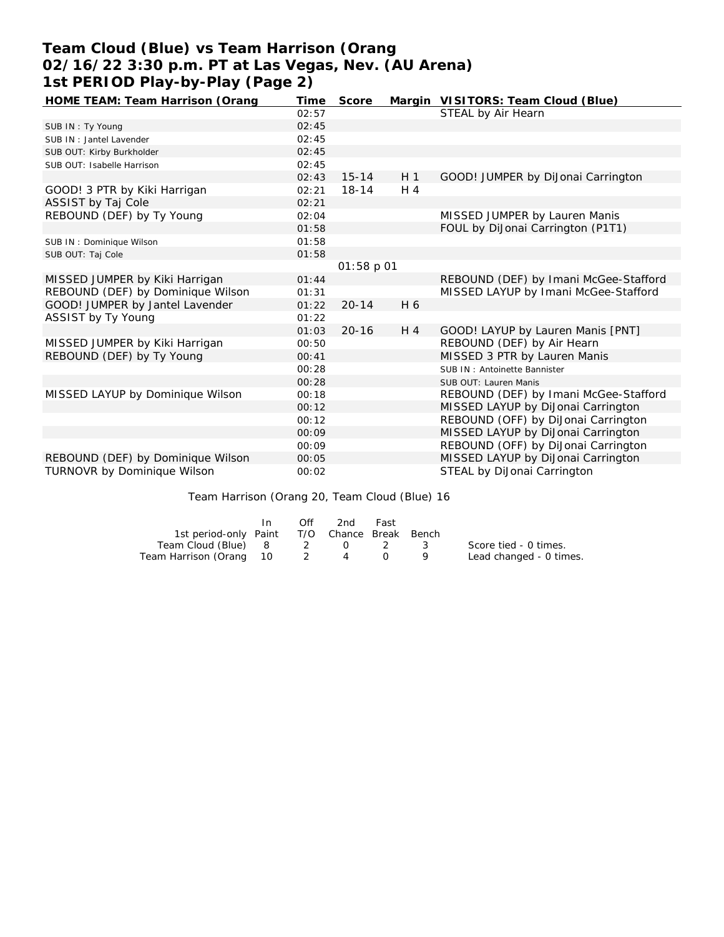## **Team Cloud (Blue) vs Team Harrison (Orang 02/16/22 3:30 p.m. PT at Las Vegas, Nev. (AU Arena) 1st PERIOD Play-by-Play (Page 2)**

| HOME TEAM: Team Harrison (Orang   | Time  | Score      |                | Margin VISITORS: Team Cloud (Blue)    |
|-----------------------------------|-------|------------|----------------|---------------------------------------|
|                                   | 02:57 |            |                | STEAL by Air Hearn                    |
| SUB IN: Ty Young                  | 02:45 |            |                |                                       |
| SUB IN: Jantel Lavender           | 02:45 |            |                |                                       |
| SUB OUT: Kirby Burkholder         | 02:45 |            |                |                                       |
| SUB OUT: Isabelle Harrison        | 02:45 |            |                |                                       |
|                                   | 02:43 | $15 - 14$  | H <sub>1</sub> | GOOD! JUMPER by DiJonai Carrington    |
| GOOD! 3 PTR by Kiki Harrigan      | 02:21 | $18 - 14$  | $H_4$          |                                       |
| ASSIST by Taj Cole                | 02:21 |            |                |                                       |
| REBOUND (DEF) by Ty Young         | 02:04 |            |                | MISSED JUMPER by Lauren Manis         |
|                                   | 01:58 |            |                | FOUL by DiJonai Carrington (P1T1)     |
| SUB IN: Dominique Wilson          | 01:58 |            |                |                                       |
| SUB OUT: Taj Cole                 | 01:58 |            |                |                                       |
|                                   |       | 01:58 p 01 |                |                                       |
| MISSED JUMPER by Kiki Harrigan    | 01:44 |            |                | REBOUND (DEF) by Imani McGee-Stafford |
| REBOUND (DEF) by Dominique Wilson | 01:31 |            |                | MISSED LAYUP by Imani McGee-Stafford  |
| GOOD! JUMPER by Jantel Lavender   | 01:22 | $20 - 14$  | H 6            |                                       |
| ASSIST by Ty Young                | 01:22 |            |                |                                       |
|                                   | 01:03 | $20 - 16$  | $H_4$          | GOOD! LAYUP by Lauren Manis [PNT]     |
| MISSED JUMPER by Kiki Harrigan    | 00:50 |            |                | REBOUND (DEF) by Air Hearn            |
| REBOUND (DEF) by Ty Young         | 00:41 |            |                | MISSED 3 PTR by Lauren Manis          |
|                                   | 00:28 |            |                | SUB IN: Antoinette Bannister          |
|                                   | 00:28 |            |                | SUB OUT: Lauren Manis                 |
| MISSED LAYUP by Dominique Wilson  | 00:18 |            |                | REBOUND (DEF) by Imani McGee-Stafford |
|                                   | 00:12 |            |                | MISSED LAYUP by DiJonai Carrington    |
|                                   | 00:12 |            |                | REBOUND (OFF) by DiJonai Carrington   |
|                                   | 00:09 |            |                | MISSED LAYUP by DiJonai Carrington    |
|                                   | 00:09 |            |                | REBOUND (OFF) by DiJonai Carrington   |
| REBOUND (DEF) by Dominique Wilson | 00:05 |            |                | MISSED LAYUP by DiJonai Carrington    |
| TURNOVR by Dominique Wilson       | 00:02 |            |                | STEAL by DiJonai Carrington           |

Team Harrison (Orang 20, Team Cloud (Blue) 16

|                                              | In. | Off      | 2nd | Fast        |     |                         |
|----------------------------------------------|-----|----------|-----|-------------|-----|-------------------------|
| 1st period-only Paint T/O Chance Break Bench |     |          |     |             |     |                         |
| Team Cloud (Blue) 8                          |     | $\sim$ 2 |     | $0\qquad 2$ | - 3 | Score tied - 0 times.   |
| Team Harrison (Orang 10                      |     | - 2      | 4   |             |     | Lead changed - 0 times. |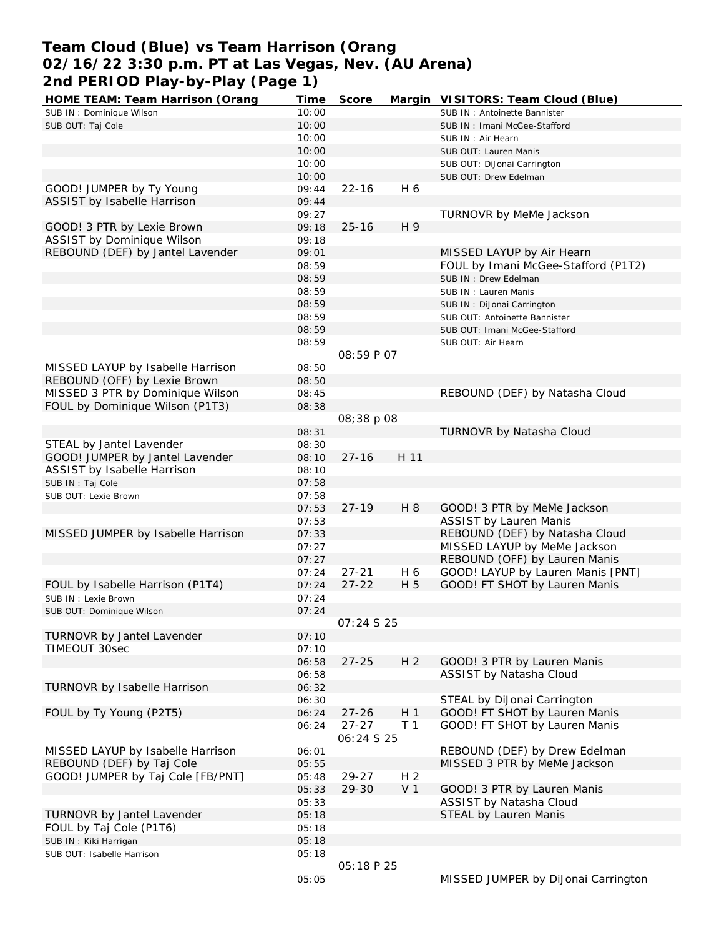# **Team Cloud (Blue) vs Team Harrison (Orang 02/16/22 3:30 p.m. PT at Las Vegas, Nev. (AU Arena) 2nd PERIOD Play-by-Play (Page 1)**

| HOME TEAM: Team Harrison (Orang    | Time           | Score             |                | Margin VISITORS: Team Cloud (Blue)  |
|------------------------------------|----------------|-------------------|----------------|-------------------------------------|
| SUB IN: Dominique Wilson           | 10:00          |                   |                | SUB IN: Antoinette Bannister        |
| SUB OUT: Taj Cole                  | 10:00          |                   |                | SUB IN: Imani McGee-Stafford        |
|                                    | 10:00          |                   |                | SUB IN: Air Hearn                   |
|                                    | 10:00          |                   |                | SUB OUT: Lauren Manis               |
|                                    | 10:00          |                   |                | SUB OUT: DiJonai Carrington         |
|                                    | 10:00          |                   |                | SUB OUT: Drew Edelman               |
| GOOD! JUMPER by Ty Young           | 09:44          | $22 - 16$         | H 6            |                                     |
| ASSIST by Isabelle Harrison        | 09:44          |                   |                |                                     |
|                                    | 09:27          |                   |                | TURNOVR by MeMe Jackson             |
| GOOD! 3 PTR by Lexie Brown         | 09:18          | $25 - 16$         | H 9            |                                     |
| ASSIST by Dominique Wilson         | 09:18          |                   |                |                                     |
| REBOUND (DEF) by Jantel Lavender   | 09:01          |                   |                | MISSED LAYUP by Air Hearn           |
|                                    | 08:59          |                   |                | FOUL by Imani McGee-Stafford (P1T2) |
|                                    | 08:59          |                   |                |                                     |
|                                    |                |                   |                | SUB IN: Drew Edelman                |
|                                    | 08:59          |                   |                | SUB IN: Lauren Manis                |
|                                    | 08:59          |                   |                | SUB IN: DiJonai Carrington          |
|                                    | 08:59          |                   |                | SUB OUT: Antoinette Bannister       |
|                                    | 08:59          |                   |                | SUB OUT: Imani McGee-Stafford       |
|                                    | 08:59          |                   |                | SUB OUT: Air Hearn                  |
|                                    |                | 08:59 P 07        |                |                                     |
| MISSED LAYUP by Isabelle Harrison  | 08:50          |                   |                |                                     |
| REBOUND (OFF) by Lexie Brown       | 08:50          |                   |                |                                     |
| MISSED 3 PTR by Dominique Wilson   | 08:45          |                   |                | REBOUND (DEF) by Natasha Cloud      |
| FOUL by Dominique Wilson (P1T3)    | 08:38          |                   |                |                                     |
|                                    |                | 08:38 p 08        |                |                                     |
|                                    | 08:31          |                   |                | TURNOVR by Natasha Cloud            |
| STEAL by Jantel Lavender           | 08:30          |                   |                |                                     |
| GOOD! JUMPER by Jantel Lavender    | 08:10          | $27 - 16$         | H 11           |                                     |
| ASSIST by Isabelle Harrison        | 08:10          |                   |                |                                     |
| SUB IN: Taj Cole                   | 07:58          |                   |                |                                     |
| SUB OUT: Lexie Brown               | 07:58          |                   |                |                                     |
|                                    | 07:53          | $27 - 19$         | H 8            | GOOD! 3 PTR by MeMe Jackson         |
|                                    | 07:53          |                   |                | <b>ASSIST by Lauren Manis</b>       |
| MISSED JUMPER by Isabelle Harrison | 07:33          |                   |                | REBOUND (DEF) by Natasha Cloud      |
|                                    | 07:27          |                   |                | MISSED LAYUP by MeMe Jackson        |
|                                    | 07:27          |                   |                | REBOUND (OFF) by Lauren Manis       |
|                                    | 07:24          | $27 - 21$         | H 6            | GOOD! LAYUP by Lauren Manis [PNT]   |
| FOUL by Isabelle Harrison (P1T4)   | 07:24          | $27 - 22$         | H 5            | GOOD! FT SHOT by Lauren Manis       |
| SUB IN : Lexie Brown               | 07:24          |                   |                |                                     |
| SUB OUT: Dominique Wilson          | 07:24          |                   |                |                                     |
|                                    |                | <i>07:24 S 25</i> |                |                                     |
| TURNOVR by Jantel Lavender         | 07:10          |                   |                |                                     |
| TIMEOUT 30sec                      | 07:10          |                   |                |                                     |
|                                    | 06:58          | $27 - 25$         | H <sub>2</sub> | GOOD! 3 PTR by Lauren Manis         |
|                                    | 06:58          |                   |                | ASSIST by Natasha Cloud             |
| TURNOVR by Isabelle Harrison       | 06:32          |                   |                |                                     |
|                                    | 06:30          |                   |                | STEAL by DiJonai Carrington         |
| FOUL by Ty Young (P2T5)            | 06:24          | $27 - 26$         | H <sub>1</sub> | GOOD! FT SHOT by Lauren Manis       |
|                                    | 06:24          | $27 - 27$         | T <sub>1</sub> | GOOD! FT SHOT by Lauren Manis       |
|                                    |                | 06:24 S 25        |                |                                     |
| MISSED LAYUP by Isabelle Harrison  | 06:01          |                   |                | REBOUND (DEF) by Drew Edelman       |
| REBOUND (DEF) by Taj Cole          | 05:55          |                   |                | MISSED 3 PTR by MeMe Jackson        |
| GOOD! JUMPER by Taj Cole [FB/PNT]  |                | 29-27             | H <sub>2</sub> |                                     |
|                                    | 05:48<br>05:33 | 29-30             | V <sub>1</sub> | GOOD! 3 PTR by Lauren Manis         |
|                                    |                |                   |                |                                     |
|                                    | 05:33          |                   |                | ASSIST by Natasha Cloud             |
| TURNOVR by Jantel Lavender         | 05:18          |                   |                | STEAL by Lauren Manis               |
| FOUL by Taj Cole (P1T6)            | 05:18          |                   |                |                                     |
| SUB IN: Kiki Harrigan              | 05:18          |                   |                |                                     |
| SUB OUT: Isabelle Harrison         | 05:18          |                   |                |                                     |
|                                    |                | 05:18 P 25        |                |                                     |
|                                    | 05:05          |                   |                | MISSED JUMPER by DiJonai Carrington |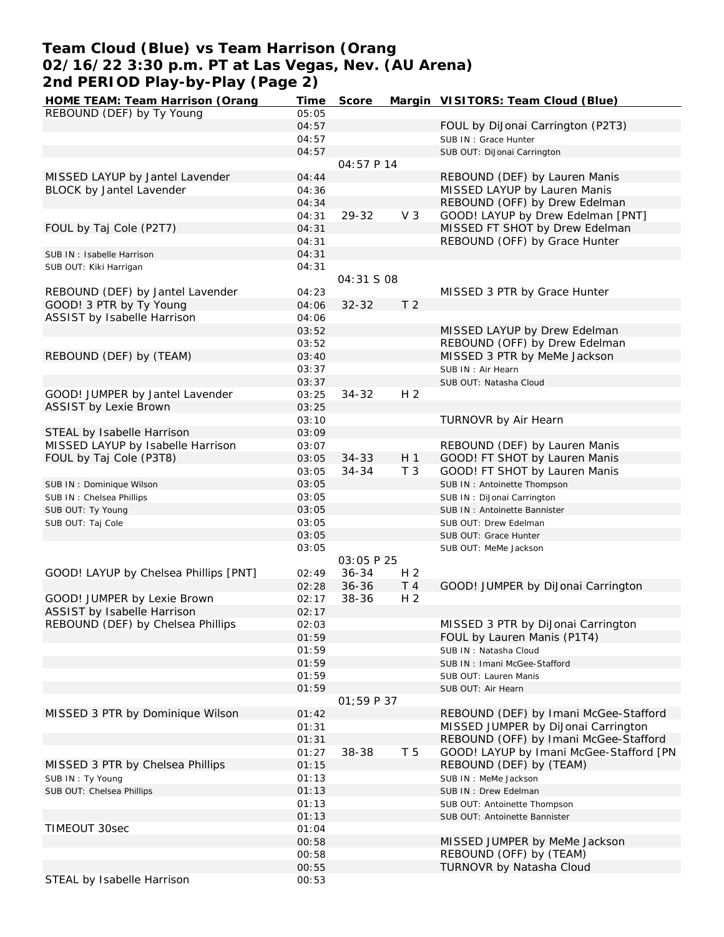### **Team Cloud (Blue) vs Team Harrison (Orang 02/16/22 3:30 p.m. PT at Las Vegas, Nev. (AU Arena) 2nd PERIOD Play-by-Play (Page 2)**

| HOME TEAM: Team Harrison (Orang       | Time           | Score      |                | Margin VISITORS: Team Cloud (Blue)                                |
|---------------------------------------|----------------|------------|----------------|-------------------------------------------------------------------|
| REBOUND (DEF) by Ty Young             | 05:05          |            |                |                                                                   |
|                                       | 04:57          |            |                | FOUL by DiJonai Carrington (P2T3)                                 |
|                                       | 04:57          |            |                | SUB IN: Grace Hunter                                              |
|                                       | 04:57          |            |                | SUB OUT: DiJonai Carrington                                       |
|                                       |                | 04:57 P 14 |                |                                                                   |
| MISSED LAYUP by Jantel Lavender       | 04:44          |            |                | REBOUND (DEF) by Lauren Manis                                     |
| BLOCK by Jantel Lavender              | 04:36          |            |                | MISSED LAYUP by Lauren Manis                                      |
|                                       | 04:34          |            |                | REBOUND (OFF) by Drew Edelman                                     |
|                                       | 04:31          | 29-32      | V <sub>3</sub> | GOOD! LAYUP by Drew Edelman [PNT]                                 |
| FOUL by Taj Cole (P2T7)               | 04:31          |            |                | MISSED FT SHOT by Drew Edelman                                    |
|                                       | 04:31          |            |                | REBOUND (OFF) by Grace Hunter                                     |
| SUB IN: Isabelle Harrison             | 04:31          |            |                |                                                                   |
| SUB OUT: Kiki Harrigan                | 04:31          |            |                |                                                                   |
|                                       |                | 04:31 S 08 |                |                                                                   |
| REBOUND (DEF) by Jantel Lavender      | 04:23          |            |                | MISSED 3 PTR by Grace Hunter                                      |
| GOOD! 3 PTR by Ty Young               | 04:06          | $32 - 32$  | T <sub>2</sub> |                                                                   |
| ASSIST by Isabelle Harrison           | 04:06          |            |                |                                                                   |
|                                       | 03:52          |            |                | MISSED LAYUP by Drew Edelman                                      |
|                                       | 03:52          |            |                | REBOUND (OFF) by Drew Edelman                                     |
| REBOUND (DEF) by (TEAM)               | 03:40          |            |                | MISSED 3 PTR by MeMe Jackson                                      |
|                                       | 03:37          |            |                | SUB IN: Air Hearn                                                 |
|                                       | 03:37          |            |                | SUB OUT: Natasha Cloud                                            |
| GOOD! JUMPER by Jantel Lavender       | 03:25          | $34 - 32$  | H 2            |                                                                   |
| <b>ASSIST by Lexie Brown</b>          | 03:25          |            |                |                                                                   |
|                                       | 03:10          |            |                | TURNOVR by Air Hearn                                              |
| STEAL by Isabelle Harrison            | 03:09          |            |                |                                                                   |
| MISSED LAYUP by Isabelle Harrison     | 03:07          |            |                | REBOUND (DEF) by Lauren Manis                                     |
| FOUL by Taj Cole (P3T8)               | 03:05          | $34 - 33$  | H <sub>1</sub> | GOOD! FT SHOT by Lauren Manis                                     |
|                                       | 03:05          | 34-34      | T <sub>3</sub> | GOOD! FT SHOT by Lauren Manis                                     |
| SUB IN: Dominique Wilson              | 03:05          |            |                | SUB IN: Antoinette Thompson                                       |
| SUB IN: Chelsea Phillips              | 03:05          |            |                | SUB IN: DiJonai Carrington                                        |
| SUB OUT: Ty Young                     | 03:05          |            |                | SUB IN: Antoinette Bannister                                      |
| SUB OUT: Taj Cole                     | 03:05          |            |                | SUB OUT: Drew Edelman                                             |
|                                       | 03:05          |            |                | SUB OUT: Grace Hunter                                             |
|                                       | 03:05          |            |                | SUB OUT: MeMe Jackson                                             |
|                                       |                | 03:05 P 25 |                |                                                                   |
| GOOD! LAYUP by Chelsea Phillips [PNT] | 02:49          | $36 - 34$  | H <sub>2</sub> |                                                                   |
|                                       | 02:28          | $36 - 36$  | T 4            | GOOD! JUMPER by DiJonai Carrington                                |
| GOOD! JUMPER by Lexie Brown           | 02:17          | 38-36      | H <sub>2</sub> |                                                                   |
| ASSIST by Isabelle Harrison           | 02:17          |            |                |                                                                   |
|                                       |                |            |                |                                                                   |
| REBOUND (DEF) by Chelsea Phillips     | 02:03          |            |                | MISSED 3 PTR by DiJonai Carrington<br>FOUL by Lauren Manis (P1T4) |
|                                       | 01:59          |            |                | SUB IN: Natasha Cloud                                             |
|                                       | 01:59          |            |                |                                                                   |
|                                       | 01:59<br>01:59 |            |                | SUB IN: Imani McGee-Stafford<br>SUB OUT: Lauren Manis             |
|                                       | 01:59          |            |                | SUB OUT: Air Hearn                                                |
|                                       |                | 01:59P37   |                |                                                                   |
|                                       |                |            |                |                                                                   |
| MISSED 3 PTR by Dominique Wilson      | 01:42          |            |                | REBOUND (DEF) by Imani McGee-Stafford                             |
|                                       | 01:31          |            |                | MISSED JUMPER by DiJonai Carrington                               |
|                                       | 01:31<br>01:27 | 38-38      | T <sub>5</sub> | REBOUND (OFF) by Imani McGee-Stafford                             |
|                                       |                |            |                | GOOD! LAYUP by Imani McGee-Stafford [PN                           |
| MISSED 3 PTR by Chelsea Phillips      | 01:15          |            |                | REBOUND (DEF) by (TEAM)                                           |
| SUB IN: Ty Young                      | 01:13          |            |                | SUB IN : MeMe Jackson                                             |
| SUB OUT: Chelsea Phillips             | 01:13          |            |                | SUB IN: Drew Edelman                                              |
|                                       | 01:13          |            |                | SUB OUT: Antoinette Thompson                                      |
|                                       | 01:13          |            |                | SUB OUT: Antoinette Bannister                                     |
| TIMEOUT 30sec                         | 01:04          |            |                |                                                                   |
|                                       | 00:58          |            |                | MISSED JUMPER by MeMe Jackson                                     |
|                                       | 00:58          |            |                | REBOUND (OFF) by (TEAM)                                           |
|                                       | 00:55          |            |                | TURNOVR by Natasha Cloud                                          |
| STEAL by Isabelle Harrison            | 00:53          |            |                |                                                                   |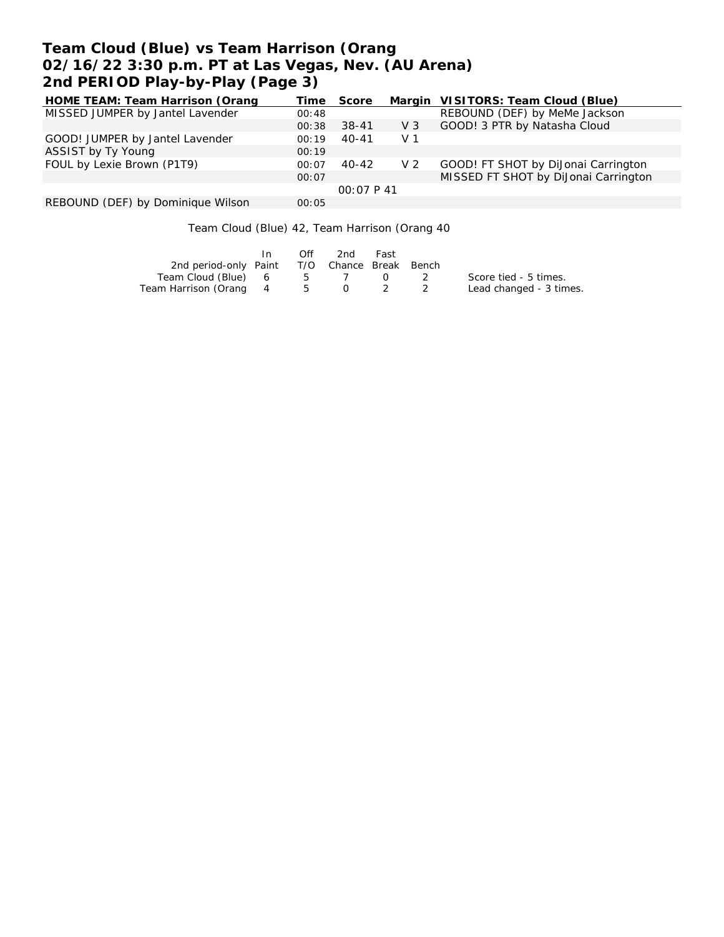# **Team Cloud (Blue) vs Team Harrison (Orang 02/16/22 3:30 p.m. PT at Las Vegas, Nev. (AU Arena) 2nd PERIOD Play-by-Play (Page 3)**

| HOME TEAM: Team Harrison (Orang   | Time  | Score     |                | Margin VISITORS: Team Cloud (Blue)   |
|-----------------------------------|-------|-----------|----------------|--------------------------------------|
| MISSED JUMPER by Jantel Lavender  | 00:48 |           |                | REBOUND (DEF) by MeMe Jackson        |
|                                   | 00:38 | $38 - 41$ | $V_3$          | GOOD! 3 PTR by Natasha Cloud         |
| GOOD! JUMPER by Jantel Lavender   | 00:19 | 40-41     | V <sub>1</sub> |                                      |
| ASSIST by Ty Young                | 00:19 |           |                |                                      |
| FOUL by Lexie Brown (P1T9)        | 00:07 | 40-42     | V <sub>2</sub> | GOOD! FT SHOT by DiJonai Carrington  |
|                                   | 00:07 |           |                | MISSED FT SHOT by DiJonai Carrington |
|                                   |       | 00:07P41  |                |                                      |
| REBOUND (DEF) by Dominique Wilson | 00:05 |           |                |                                      |

Team Cloud (Blue) 42, Team Harrison (Orang 40

|                                              |                | Off | 2nd   | Fast                                          |                         |
|----------------------------------------------|----------------|-----|-------|-----------------------------------------------|-------------------------|
| 2nd period-only Paint T/O Chance Break Bench |                |     |       |                                               |                         |
| Team Cloud (Blue) 6                          |                |     | 5 7   | $\left( \begin{array}{c} \end{array} \right)$ | Score tied - 5 times.   |
| Team Harrison (Orang                         | $\overline{4}$ |     | 5 0 2 |                                               | Lead changed - 3 times. |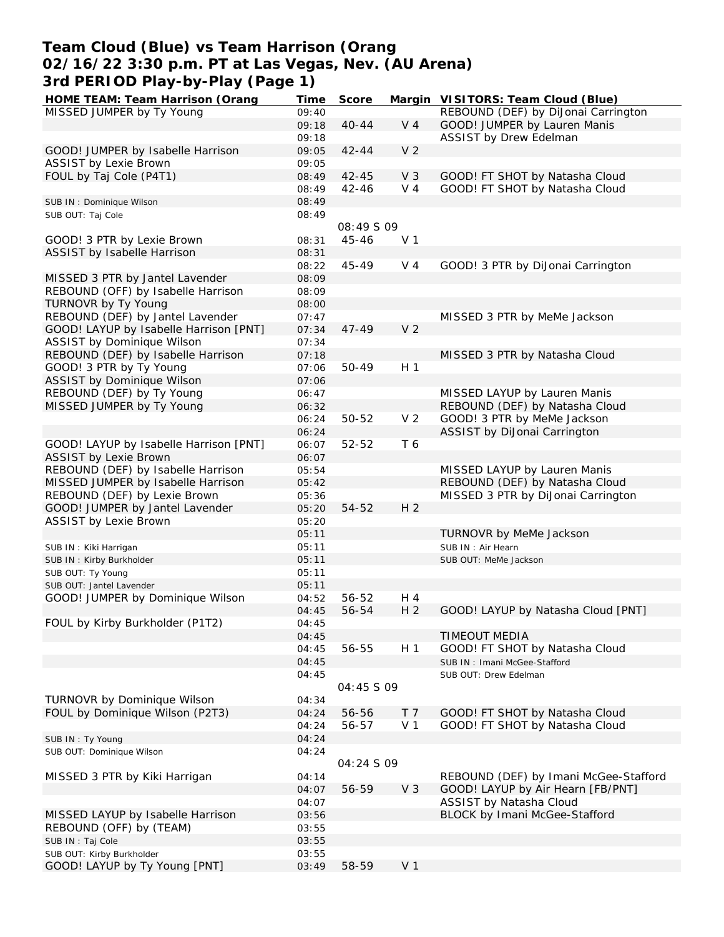# **Team Cloud (Blue) vs Team Harrison (Orang 02/16/22 3:30 p.m. PT at Las Vegas, Nev. (AU Arena) 3rd PERIOD Play-by-Play (Page 1)**

| HOME TEAM: Team Harrison (Orang        | Time  | Score      |                | Margin VISITORS: Team Cloud (Blue)    |
|----------------------------------------|-------|------------|----------------|---------------------------------------|
| MISSED JUMPER by Ty Young              | 09:40 |            |                | REBOUND (DEF) by DiJonai Carrington   |
|                                        | 09:18 | $40 - 44$  | $V_4$          | GOOD! JUMPER by Lauren Manis          |
|                                        | 09:18 |            |                | ASSIST by Drew Edelman                |
| GOOD! JUMPER by Isabelle Harrison      | 09:05 | $42 - 44$  | V <sub>2</sub> |                                       |
| <b>ASSIST by Lexie Brown</b>           | 09:05 |            |                |                                       |
|                                        |       |            |                |                                       |
| FOUL by Taj Cole (P4T1)                | 08:49 | $42 - 45$  | V <sub>3</sub> | GOOD! FT SHOT by Natasha Cloud        |
|                                        | 08:49 | $42 - 46$  | V <sub>4</sub> | GOOD! FT SHOT by Natasha Cloud        |
| SUB IN: Dominique Wilson               | 08:49 |            |                |                                       |
| SUB OUT: Taj Cole                      | 08:49 |            |                |                                       |
|                                        |       | 08:49 S 09 |                |                                       |
| GOOD! 3 PTR by Lexie Brown             | 08:31 | 45-46      | V <sub>1</sub> |                                       |
| ASSIST by Isabelle Harrison            | 08:31 |            |                |                                       |
|                                        | 08:22 | 45-49      | V 4            | GOOD! 3 PTR by DiJonai Carrington     |
| MISSED 3 PTR by Jantel Lavender        | 08:09 |            |                |                                       |
|                                        |       |            |                |                                       |
| REBOUND (OFF) by Isabelle Harrison     | 08:09 |            |                |                                       |
| TURNOVR by Ty Young                    | 08:00 |            |                |                                       |
| REBOUND (DEF) by Jantel Lavender       | 07:47 |            |                | MISSED 3 PTR by MeMe Jackson          |
| GOOD! LAYUP by Isabelle Harrison [PNT] | 07:34 | $47 - 49$  | V <sub>2</sub> |                                       |
| ASSIST by Dominique Wilson             | 07:34 |            |                |                                       |
| REBOUND (DEF) by Isabelle Harrison     | 07:18 |            |                | MISSED 3 PTR by Natasha Cloud         |
| GOOD! 3 PTR by Ty Young                | 07:06 | 50-49      | H <sub>1</sub> |                                       |
| ASSIST by Dominique Wilson             | 07:06 |            |                |                                       |
|                                        |       |            |                |                                       |
| REBOUND (DEF) by Ty Young              | 06:47 |            |                | MISSED LAYUP by Lauren Manis          |
| MISSED JUMPER by Ty Young              | 06:32 |            |                | REBOUND (DEF) by Natasha Cloud        |
|                                        | 06:24 | 50-52      | V <sub>2</sub> | GOOD! 3 PTR by MeMe Jackson           |
|                                        | 06:24 |            |                | ASSIST by DiJonai Carrington          |
| GOOD! LAYUP by Isabelle Harrison [PNT] | 06:07 | 52-52      | T 6            |                                       |
| <b>ASSIST by Lexie Brown</b>           | 06:07 |            |                |                                       |
| REBOUND (DEF) by Isabelle Harrison     | 05:54 |            |                | MISSED LAYUP by Lauren Manis          |
| MISSED JUMPER by Isabelle Harrison     |       |            |                |                                       |
|                                        | 05:42 |            |                | REBOUND (DEF) by Natasha Cloud        |
| REBOUND (DEF) by Lexie Brown           | 05:36 |            |                | MISSED 3 PTR by DiJonai Carrington    |
| GOOD! JUMPER by Jantel Lavender        | 05:20 | 54-52      | H <sub>2</sub> |                                       |
| ASSIST by Lexie Brown                  | 05:20 |            |                |                                       |
|                                        | 05:11 |            |                | TURNOVR by MeMe Jackson               |
| SUB IN: Kiki Harrigan                  | 05:11 |            |                | SUB IN: Air Hearn                     |
| SUB IN: Kirby Burkholder               | 05:11 |            |                | SUB OUT: MeMe Jackson                 |
| SUB OUT: Ty Young                      | 05:11 |            |                |                                       |
| SUB OUT: Jantel Lavender               | 05:11 |            |                |                                       |
|                                        |       |            |                |                                       |
| GOOD! JUMPER by Dominique Wilson       | 04:52 | 56-52      | H 4            |                                       |
|                                        | 04:45 | 56-54      | H <sub>2</sub> | GOOD! LAYUP by Natasha Cloud [PNT]    |
| FOUL by Kirby Burkholder (P1T2)        | 04:45 |            |                |                                       |
|                                        | 04:45 |            |                | TIMEOUT MEDIA                         |
|                                        | 04:45 | 56-55      | H <sub>1</sub> | GOOD! FT SHOT by Natasha Cloud        |
|                                        | 04:45 |            |                | SUB IN: Imani McGee-Stafford          |
|                                        | 04:45 |            |                | SUB OUT: Drew Edelman                 |
|                                        |       | 04:45 S 09 |                |                                       |
| TURNOVR by Dominique Wilson            | 04:34 |            |                |                                       |
|                                        |       |            |                |                                       |
| FOUL by Dominique Wilson (P2T3)        | 04:24 | 56-56      | T <sub>7</sub> | GOOD! FT SHOT by Natasha Cloud        |
|                                        | 04:24 | 56-57      | V <sub>1</sub> | GOOD! FT SHOT by Natasha Cloud        |
| SUB IN: Ty Young                       | 04:24 |            |                |                                       |
| SUB OUT: Dominique Wilson              | 04:24 |            |                |                                       |
|                                        |       | 04:24 S 09 |                |                                       |
| MISSED 3 PTR by Kiki Harrigan          | 04:14 |            |                | REBOUND (DEF) by Imani McGee-Stafford |
|                                        | 04:07 | 56-59      | V <sub>3</sub> | GOOD! LAYUP by Air Hearn [FB/PNT]     |
|                                        |       |            |                |                                       |
|                                        | 04:07 |            |                | ASSIST by Natasha Cloud               |
| MISSED LAYUP by Isabelle Harrison      | 03:56 |            |                | BLOCK by Imani McGee-Stafford         |
| REBOUND (OFF) by (TEAM)                | 03:55 |            |                |                                       |
| SUB IN: Taj Cole                       | 03:55 |            |                |                                       |
| SUB OUT: Kirby Burkholder              | 03:55 |            |                |                                       |
| GOOD! LAYUP by Ty Young [PNT]          | 03:49 | 58-59      | V <sub>1</sub> |                                       |
|                                        |       |            |                |                                       |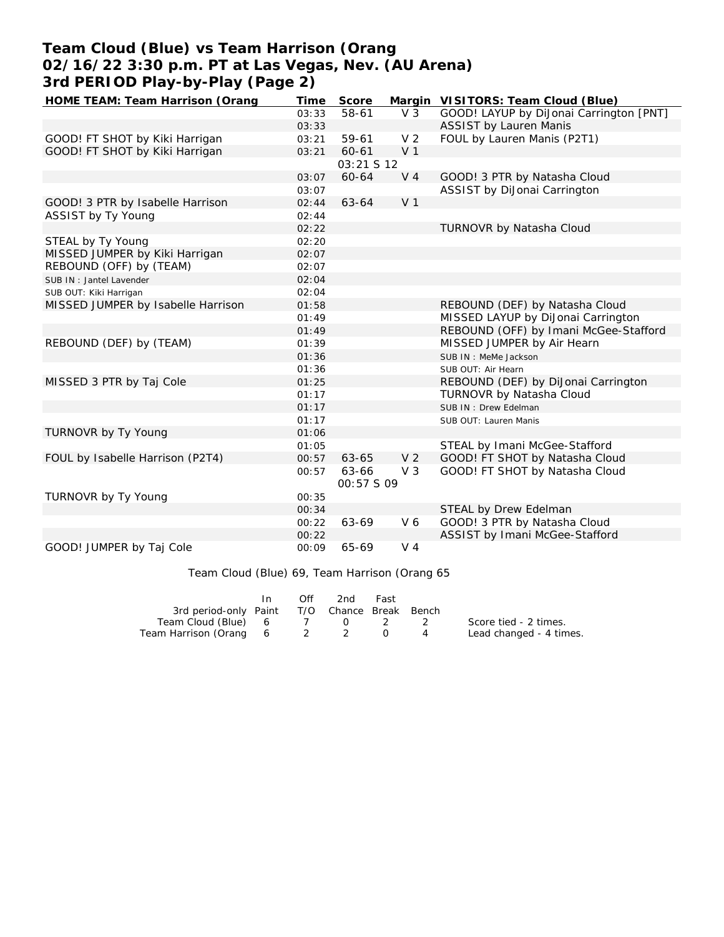# **Team Cloud (Blue) vs Team Harrison (Orang 02/16/22 3:30 p.m. PT at Las Vegas, Nev. (AU Arena) 3rd PERIOD Play-by-Play (Page 2)**

| HOME TEAM: Team Harrison (Orang    | Time  | Score      |                | Margin VISITORS: Team Cloud (Blue)      |
|------------------------------------|-------|------------|----------------|-----------------------------------------|
|                                    | 03:33 | 58-61      | V <sub>3</sub> | GOOD! LAYUP by DiJonai Carrington [PNT] |
|                                    | 03:33 |            |                | <b>ASSIST by Lauren Manis</b>           |
| GOOD! FT SHOT by Kiki Harrigan     | 03:21 | 59-61      | V <sub>2</sub> | FOUL by Lauren Manis (P2T1)             |
| GOOD! FT SHOT by Kiki Harrigan     | 03:21 | 60-61      | V <sub>1</sub> |                                         |
|                                    |       | 03:21 S 12 |                |                                         |
|                                    | 03:07 | 60-64      | V <sub>4</sub> | GOOD! 3 PTR by Natasha Cloud            |
|                                    | 03:07 |            |                | ASSIST by DiJonai Carrington            |
| GOOD! 3 PTR by Isabelle Harrison   | 02:44 | 63-64      | V <sub>1</sub> |                                         |
| ASSIST by Ty Young                 | 02:44 |            |                |                                         |
|                                    | 02:22 |            |                | TURNOVR by Natasha Cloud                |
| STEAL by Ty Young                  | 02:20 |            |                |                                         |
| MISSED JUMPER by Kiki Harrigan     | 02:07 |            |                |                                         |
| REBOUND (OFF) by (TEAM)            | 02:07 |            |                |                                         |
| SUB IN: Jantel Lavender            | 02:04 |            |                |                                         |
| SUB OUT: Kiki Harrigan             | 02:04 |            |                |                                         |
| MISSED JUMPER by Isabelle Harrison | 01:58 |            |                | REBOUND (DEF) by Natasha Cloud          |
|                                    | 01:49 |            |                | MISSED LAYUP by DiJonai Carrington      |
|                                    | 01:49 |            |                | REBOUND (OFF) by Imani McGee-Stafford   |
| REBOUND (DEF) by (TEAM)            | 01:39 |            |                | MISSED JUMPER by Air Hearn              |
|                                    | 01:36 |            |                | SUB IN: MeMe Jackson                    |
|                                    | 01:36 |            |                | SUB OUT: Air Hearn                      |
| MISSED 3 PTR by Taj Cole           | 01:25 |            |                | REBOUND (DEF) by DiJonai Carrington     |
|                                    | 01:17 |            |                | TURNOVR by Natasha Cloud                |
|                                    | 01:17 |            |                | SUB IN: Drew Edelman                    |
|                                    | 01:17 |            |                | SUB OUT: Lauren Manis                   |
| TURNOVR by Ty Young                | 01:06 |            |                |                                         |
|                                    | 01:05 |            |                | STEAL by Imani McGee-Stafford           |
| FOUL by Isabelle Harrison (P2T4)   | 00:57 | 63-65      | V <sub>2</sub> | GOOD! FT SHOT by Natasha Cloud          |
|                                    | 00:57 | 63-66      | V <sub>3</sub> | GOOD! FT SHOT by Natasha Cloud          |
|                                    |       | 00:57 S 09 |                |                                         |
| TURNOVR by Ty Young                | 00:35 |            |                |                                         |
|                                    | 00:34 |            |                | STEAL by Drew Edelman                   |
|                                    | 00:22 | 63-69      | V6             | GOOD! 3 PTR by Natasha Cloud            |
|                                    | 00:22 |            |                | ASSIST by Imani McGee-Stafford          |
| GOOD! JUMPER by Taj Cole           | 00:09 | 65-69      | $V_4$          |                                         |

Team Cloud (Blue) 69, Team Harrison (Orang 65

|                                              | $\mathsf{In}$ | Off | 2nd | Fast |                         |
|----------------------------------------------|---------------|-----|-----|------|-------------------------|
| 3rd period-only Paint T/O Chance Break Bench |               |     |     |      |                         |
| Team Cloud (Blue) 6 7 0 2 2                  |               |     |     |      | Score tied - 2 times.   |
| Team Harrison (Orang 6 2 2                   |               |     |     |      | Lead changed - 4 times. |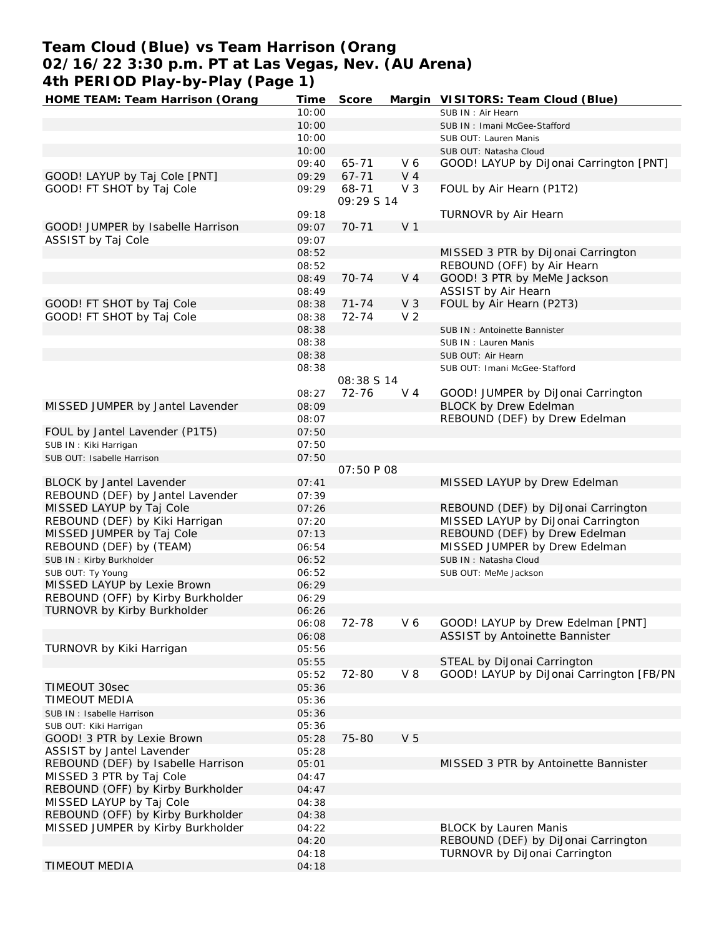# **Team Cloud (Blue) vs Team Harrison (Orang 02/16/22 3:30 p.m. PT at Las Vegas, Nev. (AU Arena) 4th PERIOD Play-by-Play (Page 1)**

| HOME TEAM: Team Harrison (Orang    | Time  | Score             |                | Margin VISITORS: Team Cloud (Blue)       |
|------------------------------------|-------|-------------------|----------------|------------------------------------------|
|                                    | 10:00 |                   |                | SUB IN: Air Hearn                        |
|                                    | 10:00 |                   |                | SUB IN: Imani McGee-Stafford             |
|                                    | 10:00 |                   |                | SUB OUT: Lauren Manis                    |
|                                    | 10:00 |                   |                | SUB OUT: Natasha Cloud                   |
|                                    | 09:40 | $65 - 71$         | V6             | GOOD! LAYUP by DiJonai Carrington [PNT]  |
| GOOD! LAYUP by Taj Cole [PNT]      | 09:29 | $67 - 71$         | V <sub>4</sub> |                                          |
| GOOD! FT SHOT by Taj Cole          | 09:29 | 68-71             | $V_3$          | FOUL by Air Hearn (P1T2)                 |
|                                    |       | 09:29 S 14        |                |                                          |
|                                    | 09:18 |                   |                | TURNOVR by Air Hearn                     |
| GOOD! JUMPER by Isabelle Harrison  | 09:07 | $70 - 71$         | V <sub>1</sub> |                                          |
| ASSIST by Taj Cole                 | 09:07 |                   |                |                                          |
|                                    | 08:52 |                   |                | MISSED 3 PTR by DiJonai Carrington       |
|                                    | 08:52 |                   |                | REBOUND (OFF) by Air Hearn               |
|                                    | 08:49 | $70 - 74$         | V <sub>4</sub> | GOOD! 3 PTR by MeMe Jackson              |
|                                    | 08:49 |                   |                | ASSIST by Air Hearn                      |
| GOOD! FT SHOT by Taj Cole          | 08:38 | $71 - 74$         | V <sub>3</sub> | FOUL by Air Hearn (P2T3)                 |
| GOOD! FT SHOT by Taj Cole          | 08:38 | $72 - 74$         | V <sub>2</sub> |                                          |
|                                    | 08:38 |                   |                | SUB IN: Antoinette Bannister             |
|                                    | 08:38 |                   |                | SUB IN: Lauren Manis                     |
|                                    | 08:38 |                   |                | SUB OUT: Air Hearn                       |
|                                    | 08:38 |                   |                | SUB OUT: Imani McGee-Stafford            |
|                                    |       | 08:38 S 14        |                |                                          |
|                                    | 08:27 | $72 - 76$         | $V_4$          | GOOD! JUMPER by DiJonai Carrington       |
| MISSED JUMPER by Jantel Lavender   | 08:09 |                   |                | <b>BLOCK by Drew Edelman</b>             |
|                                    | 08:07 |                   |                | REBOUND (DEF) by Drew Edelman            |
| FOUL by Jantel Lavender (P1T5)     | 07:50 |                   |                |                                          |
| SUB IN: Kiki Harrigan              | 07:50 |                   |                |                                          |
| SUB OUT: Isabelle Harrison         | 07:50 |                   |                |                                          |
|                                    |       | <i>07:50 P 08</i> |                |                                          |
| BLOCK by Jantel Lavender           | 07:41 |                   |                | MISSED LAYUP by Drew Edelman             |
| REBOUND (DEF) by Jantel Lavender   | 07:39 |                   |                |                                          |
| MISSED LAYUP by Taj Cole           |       |                   |                | REBOUND (DEF) by DiJonai Carrington      |
|                                    | 07:26 |                   |                |                                          |
| REBOUND (DEF) by Kiki Harrigan     | 07:20 |                   |                | MISSED LAYUP by DiJonai Carrington       |
| MISSED JUMPER by Taj Cole          | 07:13 |                   |                | REBOUND (DEF) by Drew Edelman            |
| REBOUND (DEF) by (TEAM)            | 06:54 |                   |                | MISSED JUMPER by Drew Edelman            |
| SUB IN: Kirby Burkholder           | 06:52 |                   |                | SUB IN: Natasha Cloud                    |
| SUB OUT: Ty Young                  | 06:52 |                   |                | SUB OUT: MeMe Jackson                    |
| MISSED LAYUP by Lexie Brown        | 06:29 |                   |                |                                          |
| REBOUND (OFF) by Kirby Burkholder  | 06:29 |                   |                |                                          |
| TURNOVR by Kirby Burkholder        | 06:26 |                   |                |                                          |
|                                    | 06:08 | 72-78             | V6             | GOOD! LAYUP by Drew Edelman [PNT]        |
|                                    | 06:08 |                   |                | ASSIST by Antoinette Bannister           |
| TURNOVR by Kiki Harrigan           | 05:56 |                   |                |                                          |
|                                    | 05:55 |                   |                | STEAL by DiJonai Carrington              |
|                                    | 05:52 | 72-80             | $V_8$          | GOOD! LAYUP by DiJonai Carrington [FB/PN |
| TIMEOUT 30sec                      | 05:36 |                   |                |                                          |
| TIMEOUT MEDIA                      | 05:36 |                   |                |                                          |
| SUB IN: Isabelle Harrison          | 05:36 |                   |                |                                          |
| SUB OUT: Kiki Harrigan             | 05:36 |                   |                |                                          |
| GOOD! 3 PTR by Lexie Brown         | 05:28 | 75-80             | V <sub>5</sub> |                                          |
| ASSIST by Jantel Lavender          | 05:28 |                   |                |                                          |
| REBOUND (DEF) by Isabelle Harrison | 05:01 |                   |                | MISSED 3 PTR by Antoinette Bannister     |
| MISSED 3 PTR by Taj Cole           | 04:47 |                   |                |                                          |
|                                    |       |                   |                |                                          |
| REBOUND (OFF) by Kirby Burkholder  | 04:47 |                   |                |                                          |
| MISSED LAYUP by Taj Cole           | 04:38 |                   |                |                                          |
| REBOUND (OFF) by Kirby Burkholder  | 04:38 |                   |                |                                          |
| MISSED JUMPER by Kirby Burkholder  | 04:22 |                   |                | <b>BLOCK by Lauren Manis</b>             |
|                                    | 04:20 |                   |                | REBOUND (DEF) by DiJonai Carrington      |
|                                    | 04:18 |                   |                | TURNOVR by DiJonai Carrington            |
| TIMEOUT MEDIA                      | 04:18 |                   |                |                                          |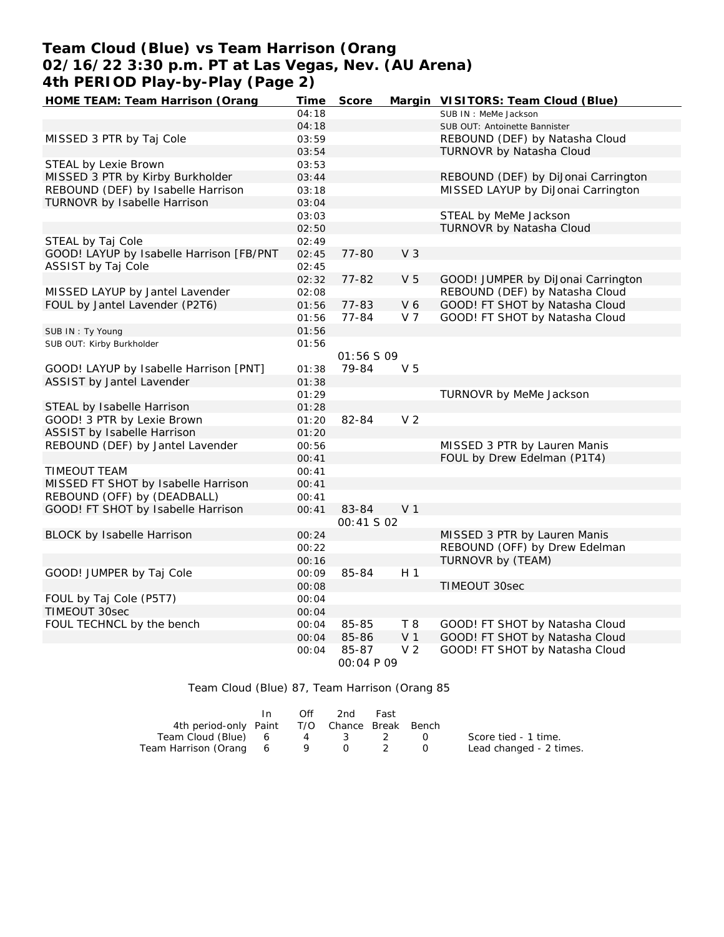# **Team Cloud (Blue) vs Team Harrison (Orang 02/16/22 3:30 p.m. PT at Las Vegas, Nev. (AU Arena) 4th PERIOD Play-by-Play (Page 2)**

| HOME TEAM: Team Harrison (Orang          | <b>Time</b> | Score             |                | Margin VISITORS: Team Cloud (Blue)  |
|------------------------------------------|-------------|-------------------|----------------|-------------------------------------|
|                                          | 04:18       |                   |                | SUB IN : MeMe Jackson               |
|                                          | 04:18       |                   |                | SUB OUT: Antoinette Bannister       |
| MISSED 3 PTR by Taj Cole                 | 03:59       |                   |                | REBOUND (DEF) by Natasha Cloud      |
|                                          | 03:54       |                   |                | TURNOVR by Natasha Cloud            |
| STEAL by Lexie Brown                     | 03:53       |                   |                |                                     |
| MISSED 3 PTR by Kirby Burkholder         | 03:44       |                   |                | REBOUND (DEF) by DiJonai Carrington |
| REBOUND (DEF) by Isabelle Harrison       | 03:18       |                   |                | MISSED LAYUP by DiJonai Carrington  |
| TURNOVR by Isabelle Harrison             | 03:04       |                   |                |                                     |
|                                          | 03:03       |                   |                | STEAL by MeMe Jackson               |
|                                          | 02:50       |                   |                | TURNOVR by Natasha Cloud            |
| STEAL by Taj Cole                        | 02:49       |                   |                |                                     |
| GOOD! LAYUP by Isabelle Harrison [FB/PNT | 02:45       | 77-80             | V <sub>3</sub> |                                     |
| ASSIST by Taj Cole                       | 02:45       |                   |                |                                     |
|                                          | 02:32       | $77 - 82$         | V <sub>5</sub> | GOOD! JUMPER by DiJonai Carrington  |
| MISSED LAYUP by Jantel Lavender          | 02:08       |                   |                | REBOUND (DEF) by Natasha Cloud      |
| FOUL by Jantel Lavender (P2T6)           | 01:56       | 77-83             | V 6            | GOOD! FT SHOT by Natasha Cloud      |
|                                          | 01:56       | 77-84             | V <sub>7</sub> | GOOD! FT SHOT by Natasha Cloud      |
| SUB IN: Ty Young                         | 01:56       |                   |                |                                     |
| SUB OUT: Kirby Burkholder                | 01:56       |                   |                |                                     |
|                                          |             | <i>01:56 S 09</i> |                |                                     |
| GOOD! LAYUP by Isabelle Harrison [PNT]   | 01:38       | 79-84             | V <sub>5</sub> |                                     |
| ASSIST by Jantel Lavender                | 01:38       |                   |                |                                     |
|                                          | 01:29       |                   |                | TURNOVR by MeMe Jackson             |
| STEAL by Isabelle Harrison               | 01:28       |                   |                |                                     |
| GOOD! 3 PTR by Lexie Brown               | 01:20       | 82-84             | V <sub>2</sub> |                                     |
| ASSIST by Isabelle Harrison              | 01:20       |                   |                |                                     |
| REBOUND (DEF) by Jantel Lavender         | 00:56       |                   |                | MISSED 3 PTR by Lauren Manis        |
|                                          | 00:41       |                   |                | FOUL by Drew Edelman (P1T4)         |
| TIMEOUT TEAM                             | 00:41       |                   |                |                                     |
| MISSED FT SHOT by Isabelle Harrison      | 00:41       |                   |                |                                     |
| REBOUND (OFF) by (DEADBALL)              | 00:41       |                   |                |                                     |
| GOOD! FT SHOT by Isabelle Harrison       | 00:41       | 83-84             | V <sub>1</sub> |                                     |
|                                          |             | <i>00:41 S 02</i> |                |                                     |
| BLOCK by Isabelle Harrison               | 00:24       |                   |                | MISSED 3 PTR by Lauren Manis        |
|                                          | 00:22       |                   |                | REBOUND (OFF) by Drew Edelman       |
|                                          | 00:16       |                   |                | TURNOVR by (TEAM)                   |
| GOOD! JUMPER by Taj Cole                 | 00:09       | 85-84             | H <sub>1</sub> |                                     |
|                                          | 00:08       |                   |                | TIMEOUT 30sec                       |
| FOUL by Taj Cole (P5T7)                  | 00:04       |                   |                |                                     |
| TIMEOUT 30sec                            | 00:04       |                   |                |                                     |
| FOUL TECHNCL by the bench                | 00:04       | 85-85             | T 8            | GOOD! FT SHOT by Natasha Cloud      |
|                                          | 00:04       | 85-86             | V <sub>1</sub> | GOOD! FT SHOT by Natasha Cloud      |
|                                          | 00:04       | 85-87             | V <sub>2</sub> | GOOD! FT SHOT by Natasha Cloud      |
|                                          |             | 00:04 P 09        |                |                                     |

Team Cloud (Blue) 87, Team Harrison (Orang 85

|                                              | In. | Off | 2nd   | Fast |        |                         |
|----------------------------------------------|-----|-----|-------|------|--------|-------------------------|
| 4th period-only Paint T/O Chance Break Bench |     |     |       |      |        |                         |
| Team Cloud (Blue) 6 4 3 2                    |     |     |       |      | $\Box$ | Score tied - 1 time.    |
| Team Harrison (Orang 6                       |     |     | 9 0 2 |      |        | Lead changed - 2 times. |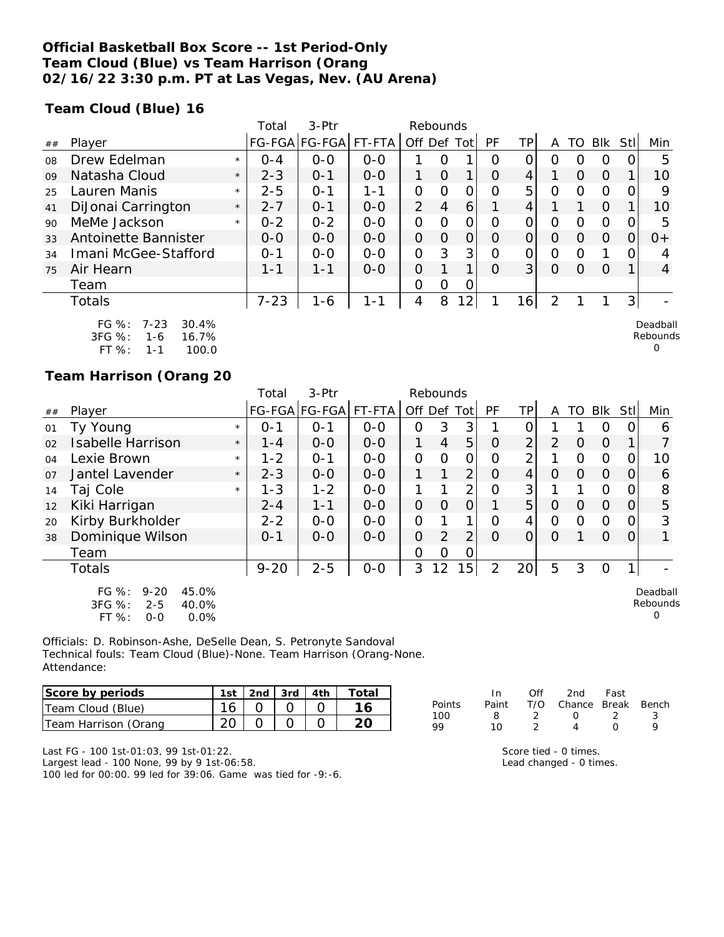### **Official Basketball Box Score -- 1st Period-Only Team Cloud (Blue) vs Team Harrison (Orang 02/16/22 3:30 p.m. PT at Las Vegas, Nev. (AU Arena)**

**Team Cloud (Blue) 16**

|    |                                                          |         | Total    | $3-$ Ptr      |         | Rebounds       |                |                |          |                |   |    |                |     |                      |
|----|----------------------------------------------------------|---------|----------|---------------|---------|----------------|----------------|----------------|----------|----------------|---|----|----------------|-----|----------------------|
| ## | Player                                                   |         |          | FG-FGA FG-FGA | FT-FTA  | Off Def        |                | Totl           | PF       | ТP             | A | TO | <b>Blk</b>     | Stl | Min                  |
| 08 | Drew Edelman                                             | $\star$ | $O - 4$  | $0 - 0$       | $0 - 0$ |                |                |                | Ο        |                | Ο |    | 0              |     | 5                    |
| 09 | Natasha Cloud                                            | $\star$ | $2 - 3$  | $0 - 1$       | $0 - 0$ | 1              | O              | 1              | O        | 4              |   | Ω  | $\Omega$       |     | 10                   |
| 25 | Lauren Manis                                             | $\star$ | $2 - 5$  | $O - 1$       | 1-1     | O              | O              | 0              | Ω        | 5              | Ο | Ω  | $\overline{0}$ |     | 9                    |
| 41 | DiJonai Carrington                                       | $\star$ | $2 - 7$  | $O - 1$       | $0 - 0$ | $\overline{2}$ | $\overline{4}$ | 6              |          | 4              |   |    | 0              |     | 10                   |
| 90 | MeMe Jackson                                             | $\star$ | $0 - 2$  | $0 - 2$       | $0 - 0$ | 0              | $\Omega$       | 0              | Ω        | 0              | Ω | ∩  | O              | ∩   | 5                    |
| 33 | Antoinette Bannister                                     |         | $O-O$    | $O-O$         | $0 - 0$ | 0              | O              | 0              | O        | 0              | O | Ω  | $\Omega$       |     | $O+$                 |
| 34 | Imani McGee-Stafford                                     |         | $O - 1$  | $0 - 0$       | $0 - 0$ | $\mathcal{O}$  | 3              | 3              | Ω        | 0              | Ο |    | 1              |     | 4                    |
| 75 | Air Hearn                                                |         | 1-1      | $1 - 1$       | $0 - 0$ | $\Omega$       |                | 1              | $\Omega$ | 3 <sup>1</sup> | O | Ω  | $\Omega$       |     | $\overline{4}$       |
|    | Team                                                     |         |          |               |         | O              | $\Omega$       | 0              |          |                |   |    |                |     |                      |
|    | Totals                                                   |         | $7 - 23$ | $1 - 6$       | $1 - 1$ | 4              | 8              | $\overline{2}$ |          | 16             | 2 |    |                | 3   |                      |
|    | FG %:<br>30.4%<br>$7 - 23$<br>3FG %:<br>16.7%<br>$1 - 6$ |         |          |               |         |                |                |                |          |                |   |    |                |     | Deadball<br>Rebounds |

FT %: 1-1 100.0

#### **Team Harrison (Orang 20**

|                |                                                                                          |         | Total    | 3-Ptr         |         |                | Rebounds       |                |                |                |          |          |          |          |                           |
|----------------|------------------------------------------------------------------------------------------|---------|----------|---------------|---------|----------------|----------------|----------------|----------------|----------------|----------|----------|----------|----------|---------------------------|
| ##             | Player                                                                                   |         |          | FG-FGA FG-FGA | FT-FTA  | Off Def Tot    |                |                | PF             | TPI            | A        | TO       | Blk      | Stll     | Min                       |
| 01             | Ty Young                                                                                 | $\star$ | $0 - 1$  | $0 - 1$       | $0-0$   | 0              | 3              | 3              |                | 0              |          |          | O        | 0        | 6                         |
| 02             | <b>Isabelle Harrison</b>                                                                 | $\star$ | $1 - 4$  | $O-O$         | $O-O$   |                | $\overline{4}$ | 5              | $\Omega$       | $\overline{2}$ | 2        | $\Omega$ | $\Omega$ |          |                           |
| 04             | Lexie Brown                                                                              | $\star$ | $1 - 2$  | $O - 1$       | $0 - 0$ | $\overline{O}$ | $\Omega$       | $\overline{O}$ | O              | $\overline{2}$ |          | 0        | $\Omega$ | 0        | 10                        |
| O <sub>7</sub> | Jantel Lavender                                                                          | $\star$ | $2 - 3$  | $0 - 0$       | $O - O$ | 1              |                | $\overline{2}$ | $\Omega$       | $\overline{4}$ | $\Omega$ | $\Omega$ | $\Omega$ | $\Omega$ | 6                         |
| 14             | Taj Cole                                                                                 | $\star$ | $1 - 3$  | $1 - 2$       | $O-O$   |                |                | 2              | O              | 3              |          |          | $\Omega$ | 0        | 8                         |
| 12             | Kiki Harrigan                                                                            |         | $2 - 4$  | $1 - 1$       | $0 - 0$ | $\overline{O}$ | 0              | $\overline{O}$ |                | 5 <sup>1</sup> | $\Omega$ | $\Omega$ | $\Omega$ | 0        | 5                         |
| 20             | Kirby Burkholder                                                                         |         | $2 - 2$  | $O-O$         | $O-O$   | $\overline{O}$ |                |                | $\Omega$       | 4              | $\Omega$ | $\Omega$ | $\Omega$ | 0        | 3                         |
| 38             | Dominique Wilson                                                                         |         | $O - 1$  | $0 - 0$       | $0-0$   | 0              | $\overline{2}$ | 2              | $\Omega$       | $\Omega$       | $\Omega$ |          | $\Omega$ | 0        | $\mathbf{1}$              |
|                | Team                                                                                     |         |          |               |         | O              | $\Omega$       | 0              |                |                |          |          |          |          |                           |
|                | <b>Totals</b>                                                                            |         | $9 - 20$ | $2 - 5$       | $O-O$   | 3              | 12             | 15             | $\overline{2}$ | 20             | 5        | 3        | $\circ$  |          |                           |
|                | $FG \%$ :<br>$9 - 20$<br>45.0%<br>3FG %:<br>$2 - 5$<br>40.0%<br>FT %:<br>0.0%<br>$0 - 0$ |         |          |               |         |                |                |                |                |                |          |          |          |          | Deadball<br>Rebounds<br>O |

Officials: D. Robinson-Ashe, DeSelle Dean, S. Petronyte Sandoval Technical fouls: Team Cloud (Blue)-None. Team Harrison (Orang-None. Attendance:

| Score by periods     | 1st | $\vert$ 2nd $\vert$ 3rd $\vert$ 4th |  | Total |
|----------------------|-----|-------------------------------------|--|-------|
| Team Cloud (Blue)    |     |                                     |  |       |
| Team Harrison (Orang |     |                                     |  |       |

In Off 2nd Fast Points Paint T/O Chance Break Bench 100 8 2 0 2 3 99 10 2 4 0 9

0

Last FG - 100 1st-01:03, 99 1st-01:22.

Largest lead - 100 None, 99 by 9 1st-06:58. 100 led for 00:00. 99 led for 39:06. Game was tied for -9:-6.

| Score tied - 0 times.   |
|-------------------------|
| Lead changed - 0 times. |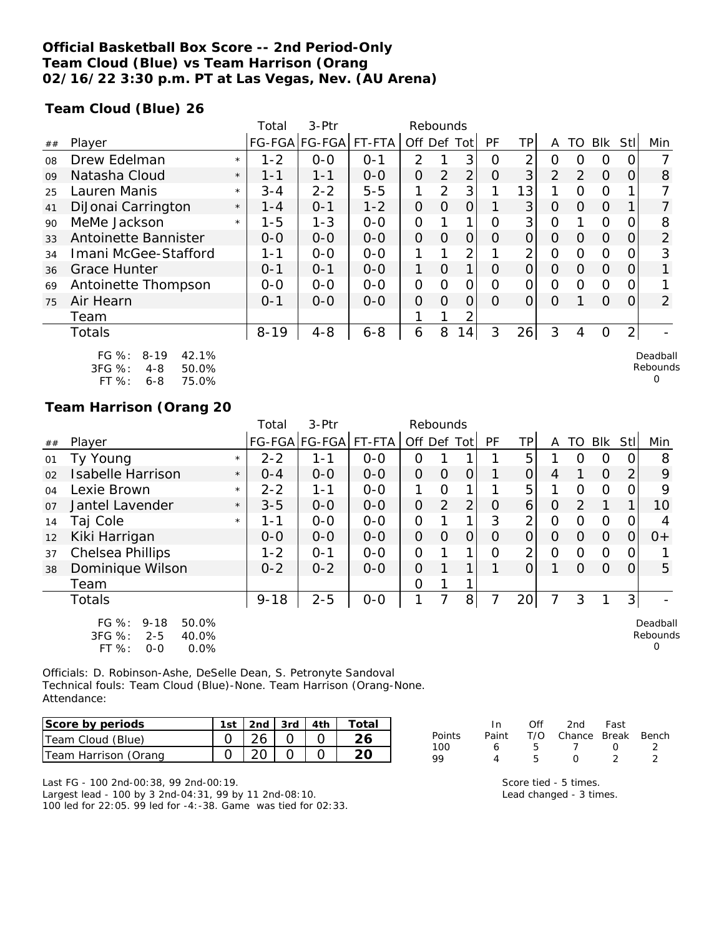### **Official Basketball Box Score -- 2nd Period-Only Team Cloud (Blue) vs Team Harrison (Orang 02/16/22 3:30 p.m. PT at Las Vegas, Nev. (AU Arena)**

**Team Cloud (Blue) 26**

|    |                                                                                       |         | Total    | 3-Ptr         |         | Rebounds       |          |                |           |                |          |          |            |                |                           |
|----|---------------------------------------------------------------------------------------|---------|----------|---------------|---------|----------------|----------|----------------|-----------|----------------|----------|----------|------------|----------------|---------------------------|
| ## | Player                                                                                |         |          | FG-FGA FG-FGA | FT-FTA  | Off Def Tot    |          |                | <b>PF</b> | ΤP             | A        | TO       | <b>Blk</b> | Stll           | Min                       |
| 08 | Drew Edelman                                                                          | $\star$ | $1 - 2$  | $O-O$         | $0 - 1$ | $\overline{2}$ |          | 3              | 0         | 2              | Ω        | Ω        | 0          |                |                           |
| 09 | Natasha Cloud                                                                         | $\star$ | 1-1      | $1 - 1$       | $0 - 0$ | $\overline{O}$ | 2        | $\overline{2}$ | Ο         | 3              | 2        | 2        | $\Omega$   | O              | 8                         |
| 25 | Lauren Manis                                                                          | $\star$ | $3 - 4$  | $2 - 2$       | $5 - 5$ |                | 2        | 3              |           | 13             |          | Ω        | 0          |                |                           |
| 41 | DiJonai Carrington                                                                    | $\star$ | 1 - 4    | $0 - 1$       | $1 - 2$ | $\Omega$       | 0        | 0              |           | 3              | $\circ$  | $\Omega$ | $\Omega$   |                |                           |
| 90 | MeMe Jackson                                                                          | $\star$ | $1 - 5$  | $1 - 3$       | $0 - 0$ | 0              |          | 1              | Ω         | 3              | Ω        |          | 0          |                | 8                         |
| 33 | Antoinette Bannister                                                                  |         | $0 - 0$  | $0-0$         | $0-0$   | $\Omega$       | $\Omega$ | $\overline{O}$ | $\Omega$  | $\overline{O}$ | O        | $\Omega$ | $\Omega$   | 0              | 2                         |
| 34 | Imani McGee-Stafford                                                                  |         | 1-1      | $0 - 0$       | $0-0$   |                |          | 2              |           | 2              | Ο        | Ω        | 0          |                | 3                         |
| 36 | <b>Grace Hunter</b>                                                                   |         | $0 - 1$  | $O - 1$       | $0-0$   | 1              | $\Omega$ | 1              | O         | $\Omega$       | $\circ$  | 0        | $\Omega$   | 0              |                           |
| 69 | Antoinette Thompson                                                                   |         | $0 - 0$  | $0-0$         | $0-0$   | $\mathcal{O}$  | $\Omega$ | 0              | $\Omega$  | $\Omega$       | $\Omega$ | $\Omega$ | $\Omega$   | O              |                           |
| 75 | Air Hearn                                                                             |         | $0 - 1$  | $0 - 0$       | $0-0$   | $\Omega$       | $\Omega$ | $\Omega$       | $\Omega$  | $\Omega$       | 0        |          | $\Omega$   | 0              | 2                         |
|    | Team                                                                                  |         |          |               |         |                |          | 2              |           |                |          |          |            |                |                           |
|    | Totals                                                                                |         | $8 - 19$ | $4 - 8$       | $6 - 8$ | 6              | 8        | 14             | 3         | 26             | 3        | 4        | 0          | $\overline{2}$ |                           |
|    | $FG \%$ :<br>42.1%<br>$8 - 19$<br>3FG %:<br>50.0%<br>4-8<br>FT %:<br>75.0%<br>$6 - 8$ |         |          |               |         |                |          |                |           |                |          |          |            |                | Deadball<br>Rebounds<br>Ω |

### **Team Harrison (Orang 20**

|    |                                                                                      |         | Total    | 3-Ptr                |         | Rebounds    |                |                |    |                |                |                |          |          |                      |
|----|--------------------------------------------------------------------------------------|---------|----------|----------------------|---------|-------------|----------------|----------------|----|----------------|----------------|----------------|----------|----------|----------------------|
| ## | Player                                                                               |         |          | FG-FGA FG-FGA FT-FTA |         | Off Def Tot |                |                | PF | ΤP             | A              | TO             | Blk      | Stll     | Min                  |
| 01 | Ty Young                                                                             | $\star$ | $2 - 2$  | 1-1                  | $0-0$   | 0           |                |                |    | 5              |                | $\Omega$       | O        |          | 8                    |
| 02 | <b>Isabelle Harrison</b>                                                             | $\star$ | $0 - 4$  | $0 - 0$              | $0 - 0$ | O           | $\Omega$       | $\Omega$       |    | $\overline{O}$ | 4              |                | $\Omega$ | 2        | 9                    |
| 04 | Lexie Brown                                                                          | $\star$ | $2 - 2$  | 1-1                  | $0-0$   | 1           | 0              | 1              |    | 5              |                | $\Omega$       | $\Omega$ |          | 9                    |
| 07 | Jantel Lavender                                                                      | $\star$ | $3 - 5$  | $0 - 0$              | $0 - 0$ | 0           | $\overline{2}$ | 2 <sub>1</sub> | O  | 6              | $\Omega$       | $\overline{2}$ |          |          | 10                   |
| 14 | Taj Cole                                                                             | $\star$ | 1-1      | $0 - 0$              | $O - O$ | 0           |                | 1              | 3  | $\overline{2}$ | 0              | $\Omega$       | $\circ$  |          | 4                    |
| 12 | Kiki Harrigan                                                                        |         | $0 - 0$  | $0 - 0$              | $0 - 0$ | O           | $\Omega$       | $\overline{O}$ | O  | 0              | $\Omega$       | $\Omega$       | $\Omega$ | $\Omega$ | $0+$                 |
| 37 | Chelsea Phillips                                                                     |         | $1 - 2$  | $O - 1$              | $0-0$   | 0           | 1              | 1              | Ω  | $\overline{2}$ | $\overline{O}$ | $\Omega$       | $\Omega$ |          |                      |
| 38 | Dominique Wilson                                                                     |         | $0 - 2$  | $0 - 2$              | $0-0$   | 0           |                | 1              |    | 0              | 1              | $\Omega$       | $\Omega$ |          | 5                    |
|    | Team                                                                                 |         |          |                      |         | 0           |                | 1              |    |                |                |                |          |          |                      |
|    | Totals                                                                               |         | $9 - 18$ | $2 - 5$              | $0-0$   |             |                | 8              |    | 20             |                | 3              |          | 3        |                      |
|    | FG %:<br>$9 - 18$<br>50.0%<br>3FG %:<br>40.0%<br>$2 - 5$<br>FT %:<br>0.0%<br>$0 - 0$ |         |          |                      |         |             |                |                |    |                |                |                |          |          | Deadball<br>Rebounds |

Officials: D. Robinson-Ashe, DeSelle Dean, S. Petronyte Sandoval Technical fouls: Team Cloud (Blue)-None. Team Harrison (Orang-None. Attendance:

| Score by periods     | 1st $\vert$ 2nd $\vert$ 3rd $\vert$ 4th |  | Total |
|----------------------|-----------------------------------------|--|-------|
| Team Cloud (Blue)    | 26                                      |  |       |
| Team Harrison (Orang |                                         |  |       |

|        | In.   | Off | 2nd                    | Fast             |  |
|--------|-------|-----|------------------------|------------------|--|
| Points | Paint |     | T/O Chance Break Bench |                  |  |
| 100    | 6     | 5   |                        | $\left( \right)$ |  |
| 99     | 4     | Б.  | $\left( \right)$       | $\mathcal{D}$    |  |
|        |       |     |                        |                  |  |

Last FG - 100 2nd-00:38, 99 2nd-00:19. Largest lead - 100 by 3 2nd-04:31, 99 by 11 2nd-08:10. 100 led for 22:05. 99 led for -4:-38. Game was tied for 02:33. Score tied - 5 times. Lead changed - 3 times.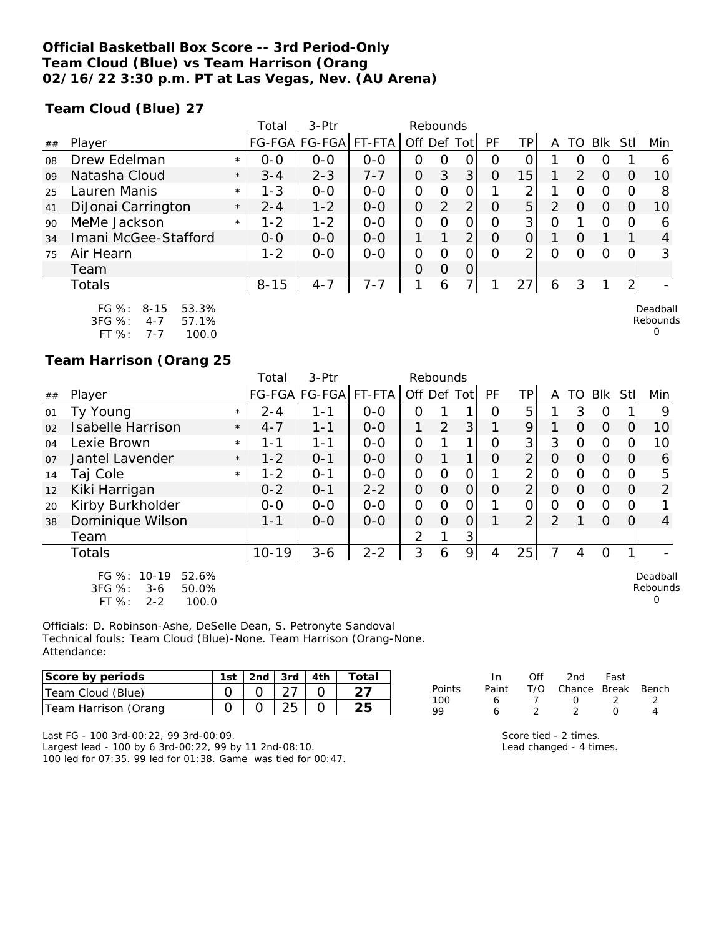### **Official Basketball Box Score -- 3rd Period-Only Team Cloud (Blue) vs Team Harrison (Orang 02/16/22 3:30 p.m. PT at Las Vegas, Nev. (AU Arena)**

**Team Cloud (Blue) 27**

|    |                                                              |         | Total    | $3-Ptr$       |         | Rebounds      |          |                |           |                 |   |                  |                |                |                      |
|----|--------------------------------------------------------------|---------|----------|---------------|---------|---------------|----------|----------------|-----------|-----------------|---|------------------|----------------|----------------|----------------------|
| ## | Player                                                       |         |          | FG-FGA FG-FGA | FT-FTA  | Off Def       |          | Totl           | <b>PF</b> | <b>TP</b>       |   | TO               | Blk            | Stl            | Min                  |
| 08 | Drew Edelman                                                 | $\star$ | $0 - 0$  | $0 - 0$       | $0 - 0$ | 0             | O        | 0              | O         |                 |   |                  | Ο              |                | 6                    |
| 09 | Natasha Cloud                                                | $\star$ | $3 - 4$  | $2 - 3$       | $7 - 7$ | 0             | 3        | 3              | O         | 15 <sub>1</sub> |   | $\overline{2}$   | $\Omega$       |                | 10                   |
| 25 | Lauren Manis                                                 | $\star$ | $1 - 3$  | $0 - 0$       | $0 - 0$ | $\mathcal{O}$ | $\Omega$ | 0              |           | ⌒               |   | ი                | $\overline{0}$ |                | 8                    |
| 41 | DiJonai Carrington                                           | $\star$ | $2 - 4$  | $1 - 2$       | $0 - 0$ | 0             | 2        | 2              | O         | 5               | 2 | $\left( \right)$ | $\Omega$       |                | 10                   |
| 90 | MeMe Jackson                                                 | $\star$ | $1 - 2$  | $1 - 2$       | $0 - 0$ | $\Omega$      | O        | 0              | Ω         | 3 <sup>1</sup>  | 0 |                  | O              |                | 6                    |
| 34 | Imani McGee-Stafford                                         |         | $0 - 0$  | $0 - 0$       | $0 - 0$ |               |          | $\overline{2}$ | O         | 0               | 1 |                  |                |                | 4                    |
| 75 | Air Hearn                                                    |         | $1 - 2$  | $0 - 0$       | $O-O$   | 0             | O        | 0              | Ω         | 2               | Ω |                  | ∩              |                | 3                    |
|    | Team                                                         |         |          |               |         | $\Omega$      | $\Omega$ | $\overline{0}$ |           |                 |   |                  |                |                |                      |
|    | Totals                                                       |         | $8 - 15$ | $4 - 7$       | $7 - 7$ | 1             | 6        | 7.             |           | 27              | 6 | 3                |                | $\overline{2}$ |                      |
|    | $FG \%$ :<br>$8 - 15$<br>53.3%<br>3FG %:<br>57.1%<br>$4 - 7$ |         |          |               |         |               |          |                |           |                 |   |                  |                |                | Deadball<br>Rebounds |

| 3FG %:    | 4-7 | 57.1% |
|-----------|-----|-------|
| FT $\%$ : | 7-7 | 100.0 |

### **Team Harrison (Orang 25**

|    |                                                                                            |         | Total     | 3-Ptr         |         |                | Rebounds |                |          |                |                |          |             |      |                           |
|----|--------------------------------------------------------------------------------------------|---------|-----------|---------------|---------|----------------|----------|----------------|----------|----------------|----------------|----------|-------------|------|---------------------------|
| ## | Player                                                                                     |         |           | FG-FGA FG-FGA | FT-FTA  | Off Def Tot    |          |                | PF       | TP             | A              | TO       | Blk         | Stll | Min                       |
| 01 | Ty Young                                                                                   | $\star$ | $2 - 4$   | 1-1           | $0-0$   | O              |          |                | Ω        | 5              |                | 3        | $\Omega$    |      | 9                         |
| 02 | <b>Isabelle Harrison</b>                                                                   | $\star$ | $4 - 7$   | $1 - 1$       | $O-O$   |                | 2        | 3              |          | 9              |                | O        | $\Omega$    | 0    | 10                        |
| 04 | Lexie Brown                                                                                | $\star$ | 1-1       | 1-1           | $0 - 0$ | $\overline{O}$ |          | 1              | 0        | 3 <sup>1</sup> | 3              | 0        | $\Omega$    | 0    | 10                        |
| 07 | Jantel Lavender                                                                            | $\star$ | $1 - 2$   | $0 - 1$       | $O - O$ | $\overline{O}$ |          | 1              | $\Omega$ | $\overline{2}$ | $\Omega$       | $\Omega$ | $\Omega$    | 0    | 6                         |
| 14 | Taj Cole                                                                                   | $\star$ | $1 - 2$   | $O - 1$       | $0-0$   | O              | 0        | $\mathcal{O}$  |          | 2              | $\overline{O}$ | Ο        | $\mathbf 0$ | O    | 5                         |
| 12 | Kiki Harrigan                                                                              |         | $0 - 2$   | $0 - 1$       | $2 - 2$ | $\overline{O}$ | $\Omega$ | $\overline{O}$ | $\Omega$ | $\overline{2}$ | $\Omega$       | O        | $\Omega$    | 0    | 2                         |
| 20 | Kirby Burkholder                                                                           |         | $0-0$     | $0-0$         | $O-O$   | O              | 0        | $\mathcal{O}$  |          | 0              | 0              | 0        | $\Omega$    | 0    |                           |
| 38 | Dominique Wilson                                                                           |         | $1 - 1$   | $0 - 0$       | $0-0$   | $\overline{O}$ | $\Omega$ | 0              |          | $\overline{2}$ | 2              |          | $\Omega$    | 0    | $\overline{4}$            |
|    | Team                                                                                       |         |           |               |         | $\overline{2}$ |          | 3              |          |                |                |          |             |      |                           |
|    | Totals                                                                                     |         | $10 - 19$ | $3 - 6$       | $2 - 2$ | 3              | 6        | $\overline{9}$ | 4        | 25             |                | 4        | O           | 1    |                           |
|    | $FG \%$ :<br>$10 - 19$<br>52.6%<br>3FG %:<br>$3 - 6$<br>50.0%<br>FT %:<br>100.0<br>$2 - 2$ |         |           |               |         |                |          |                |          |                |                |          |             |      | Deadball<br>Rebounds<br>O |

Officials: D. Robinson-Ashe, DeSelle Dean, S. Petronyte Sandoval Technical fouls: Team Cloud (Blue)-None. Team Harrison (Orang-None. Attendance:

| Score by periods     | 1st | 2nd $\sqrt{3}$ 3rd $\sqrt{4}$ 4th |  |
|----------------------|-----|-----------------------------------|--|
| Team Cloud (Blue)    |     |                                   |  |
| Team Harrison (Orang |     |                                   |  |

|        | In.   | ∩ff | 2nd                    | Fast             |  |
|--------|-------|-----|------------------------|------------------|--|
| Points | Paint |     | T/O Chance Break Bench |                  |  |
| 100    | 6     |     | $\sqrt{2}$             |                  |  |
| 99     |       |     |                        | $\left( \right)$ |  |

0

Last FG - 100 3rd-00:22, 99 3rd-00:09.

Largest lead - 100 by 6 3rd-00:22, 99 by 11 2nd-08:10. 100 led for 07:35. 99 led for 01:38. Game was tied for 00:47.

| Score tied - 2 times.   |  |
|-------------------------|--|
| Lead changed - 4 times. |  |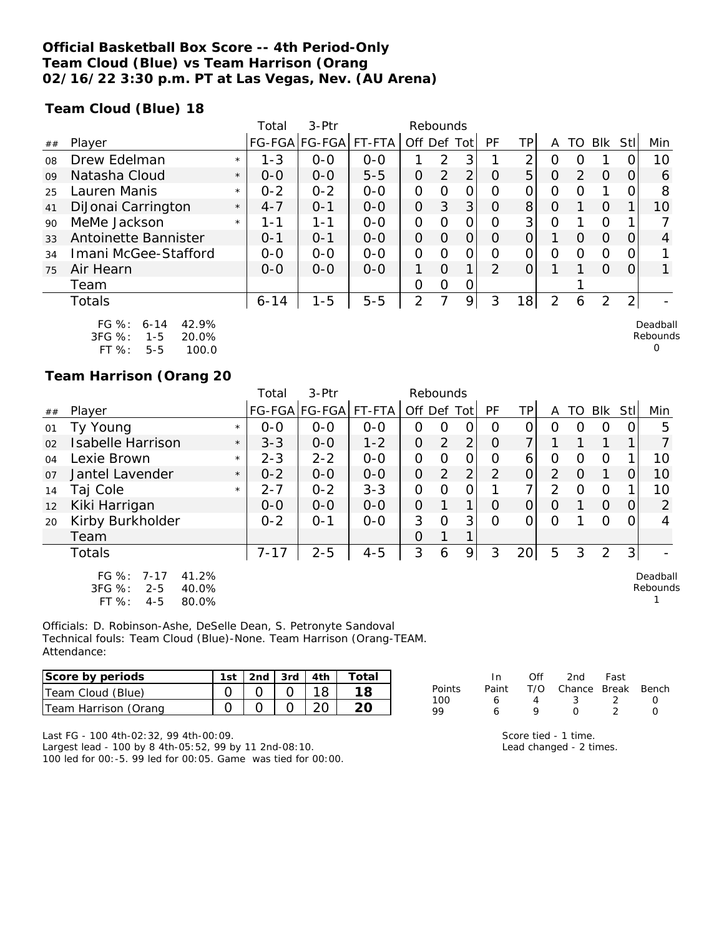### **Official Basketball Box Score -- 4th Period-Only Team Cloud (Blue) vs Team Harrison (Orang 02/16/22 3:30 p.m. PT at Las Vegas, Nev. (AU Arena)**

**Team Cloud (Blue) 18**

|    |                                                              |         | Total    | $3-$ Ptr             |         | Rebounds       |                |                |               |                |   |               |                |                |                      |
|----|--------------------------------------------------------------|---------|----------|----------------------|---------|----------------|----------------|----------------|---------------|----------------|---|---------------|----------------|----------------|----------------------|
| ## | Player                                                       |         |          | FG-FGA FG-FGA FT-FTA |         | Off Def        |                | Tot l          | <b>PF</b>     | TP             | A | TO            | <b>Blk</b>     | Stl            | Min                  |
| 08 | Drew Edelman                                                 | $\star$ | $1 - 3$  | $0 - 0$              | $O - O$ |                | 2              | 3              |               | ⌒              | Ο |               |                |                | 10                   |
| 09 | Natasha Cloud                                                | $\star$ | $0 - 0$  | $0 - 0$              | $5 - 5$ | 0              | $\overline{2}$ | $\overline{2}$ | O             | 5              | O | $\mathcal{P}$ | $\Omega$       | 0              | 6                    |
| 25 | Lauren Manis                                                 | $\star$ | $0 - 2$  | $0 - 2$              | $O - O$ | $\mathcal{O}$  | O              | 0              | O             | 0              | Ο | Ω             |                |                | 8                    |
| 41 | DiJonai Carrington                                           | $\star$ | $4 - 7$  | $0 - 1$              | $0 - 0$ | $\overline{O}$ | 3              | 3 <sup>1</sup> | $\circ$       | 8              | 0 |               | $\Omega$       |                | 10                   |
| 90 | MeMe Jackson                                                 | $\star$ | 1-1      | 1 - 1                | $O-O$   | $\Omega$       | $\Omega$       | 0              | Ω             | 3 <sub>1</sub> | Ω |               | $\Omega$       |                |                      |
| 33 | Antoinette Bannister                                         |         | $O - 1$  | $0 - 1$              | $0 - 0$ | 0              | $\Omega$       | 0              | O             | 0              |   | Ω             | $\Omega$       |                | 4                    |
| 34 | Imani McGee-Stafford                                         |         | $0 - 0$  | $0 - 0$              | $O-O$   | $\Omega$       | $\Omega$       | 0              | Ω             | Ω              | 0 | Ω             | 0              |                |                      |
| 75 | Air Hearn                                                    |         | $0 - 0$  | $0 - 0$              | $0 - 0$ |                | $\Omega$       | 1              | $\mathcal{P}$ | 0              |   |               | $\Omega$       | Ω              |                      |
|    | Team                                                         |         |          |                      |         | $\mathbf 0$    | 0              | 0              |               |                |   |               |                |                |                      |
|    | <b>Totals</b>                                                |         | $6 - 14$ | $1 - 5$              | $5 - 5$ | 2              | 7              | 9              | 3             | 18             | 2 | 6             | $\overline{2}$ | $\overline{2}$ |                      |
|    | FG $\%$ :<br>42.9%<br>$6 - 14$<br>3FG %:<br>20.0%<br>$1 - 5$ |         |          |                      |         |                |                |                |               |                |   |               |                |                | Deadball<br>Rebounds |

FT %: 5-5 100.0

#### **Team Harrison (Orang 20**

|                |                                                                                           |         | Total    | 3-Ptr                |         | Rebounds       |                |                |          |                |                |          |             |                |                      |
|----------------|-------------------------------------------------------------------------------------------|---------|----------|----------------------|---------|----------------|----------------|----------------|----------|----------------|----------------|----------|-------------|----------------|----------------------|
| $\#\#$         | Player                                                                                    |         |          | FG-FGA FG-FGA FT-FTA |         | Off Def Tot    |                |                | PF       | TP             | A              |          | TO Blk Stll |                | Min                  |
| 01             | Ty Young                                                                                  | $\star$ | $0 - 0$  | $0 - 0$              | $0 - 0$ | 0              | 0              | 0              | O        | 0              | Ω              | 0        | O           | 0              | 5                    |
| 02             | <b>Isabelle Harrison</b>                                                                  | $\star$ | $3 - 3$  | $0-0$                | $1 - 2$ | $\overline{O}$ | 2              | $\overline{2}$ | 0        | 7 <sub>1</sub> |                |          |             |                |                      |
| 04             | Lexie Brown                                                                               | $\star$ | $2 - 3$  | $2 - 2$              | $0 - 0$ | $\overline{O}$ | 0              | $\mathbf{O}$   | O        | 6              | $\overline{O}$ | $\Omega$ | $\Omega$    |                | 10                   |
| O <sub>7</sub> | Jantel Lavender                                                                           | $\star$ | $0 - 2$  | $0 - 0$              | $0 - 0$ | $\overline{O}$ | $\overline{2}$ | $\overline{2}$ | 2        | $\Omega$       | 2              | $\Omega$ | 1           | $\Omega$       | 10                   |
| 14             | Taj Cole                                                                                  | $\star$ | $2 - 7$  | $0 - 2$              | $3 - 3$ | $\Omega$       | 0              | O              |          | $\overline{7}$ | 2              | $\Omega$ | 0           |                | 10                   |
| 12             | Kiki Harrigan                                                                             |         | $0 - 0$  | $0 - 0$              | $0 - 0$ | $\Omega$       |                | $\mathbf 1$    | O        | $\overline{O}$ | $\circ$        |          | $\Omega$    | $\Omega$       | 2                    |
| 20             | Kirby Burkholder                                                                          |         | $0 - 2$  | $0 - 1$              | $0 - 0$ | 3              | $\Omega$       | 3              | $\Omega$ | $\Omega$       | $\Omega$       |          | $\Omega$    | 0              | 4                    |
|                | Team                                                                                      |         |          |                      |         | $\Omega$       |                |                |          |                |                |          |             |                |                      |
|                | Totals                                                                                    |         | $7 - 17$ | $2 - 5$              | $4 - 5$ | 3              | 6              | 9              | 3        | 20             | 5              | 3        | 2           | 3 <sup>1</sup> |                      |
|                | $FG \%$ :<br>41.2%<br>$7 - 17$<br>3FG %:<br>40.0%<br>$2 - 5$<br>FT %:<br>$4 - 5$<br>80.0% |         |          |                      |         |                |                |                |          |                |                |          |             |                | Deadball<br>Rebounds |

Officials: D. Robinson-Ashe, DeSelle Dean, S. Petronyte Sandoval Technical fouls: Team Cloud (Blue)-None. Team Harrison (Orang-TEAM. Attendance:

| Score by periods     | 1st | 2nd $\vert$ 3rd | 4th | ⊤otai |
|----------------------|-----|-----------------|-----|-------|
| Team Cloud (Blue)    |     |                 |     |       |
| Team Harrison (Orang |     |                 |     |       |

In Off 2nd Fast<br>Paint T/O Chance Break Points Paint T/O Chance Break Bench<br>100 6 4 3 2 0 100 6 4 3 2 0 99 6 9 0 2 0

0

Last FG - 100 4th-02:32, 99 4th-00:09.

Largest lead - 100 by 8 4th-05:52, 99 by 11 2nd-08:10. 100 led for 00:-5. 99 led for 00:05. Game was tied for 00:00.

| Score tied - 1 time.    |  |
|-------------------------|--|
| Lead changed - 2 times. |  |